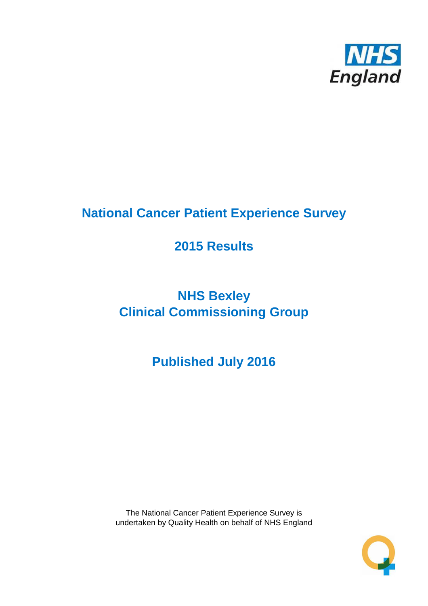

# **National Cancer Patient Experience Survey**

# **2015 Results**

# **NHS Bexley Clinical Commissioning Group**

# **Published July 2016**

The National Cancer Patient Experience Survey is undertaken by Quality Health on behalf of NHS England

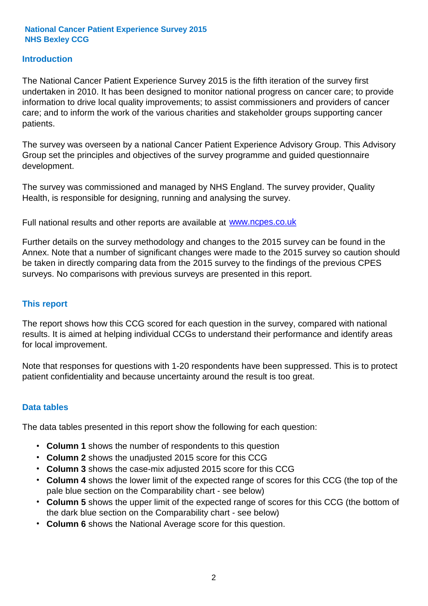### **Introduction**

The National Cancer Patient Experience Survey 2015 is the fifth iteration of the survey first undertaken in 2010. It has been designed to monitor national progress on cancer care; to provide information to drive local quality improvements; to assist commissioners and providers of cancer care; and to inform the work of the various charities and stakeholder groups supporting cancer patients.

The survey was overseen by a national Cancer Patient Experience Advisory Group. This Advisory Group set the principles and objectives of the survey programme and guided questionnaire development.

The survey was commissioned and managed by NHS England. The survey provider, Quality Health, is responsible for designing, running and analysing the survey.

Full national results and other reports are available at www.ncpes.co.uk

Further details on the survey methodology and changes to the 2015 survey can be found in the Annex. Note that a number of significant changes were made to the 2015 survey so caution should be taken in directly comparing data from the 2015 survey to the findings of the previous CPES surveys. No comparisons with previous surveys are presented in this report.

#### **This report**

The report shows how this CCG scored for each question in the survey, compared with national results. It is aimed at helping individual CCGs to understand their performance and identify areas for local improvement.

Note that responses for questions with 1-20 respondents have been suppressed. This is to protect patient confidentiality and because uncertainty around the result is too great.

#### **Data tables**

The data tables presented in this report show the following for each question:

- **Column 1** shows the number of respondents to this question
- **Column 2** shows the unadjusted 2015 score for this CCG
- **Column 3** shows the case-mix adjusted 2015 score for this CCG
- **Column 4** shows the lower limit of the expected range of scores for this CCG (the top of the pale blue section on the Comparability chart - see below)
- **Column 5** shows the upper limit of the expected range of scores for this CCG (the bottom of the dark blue section on the Comparability chart - see below)
- **Column 6** shows the National Average score for this question.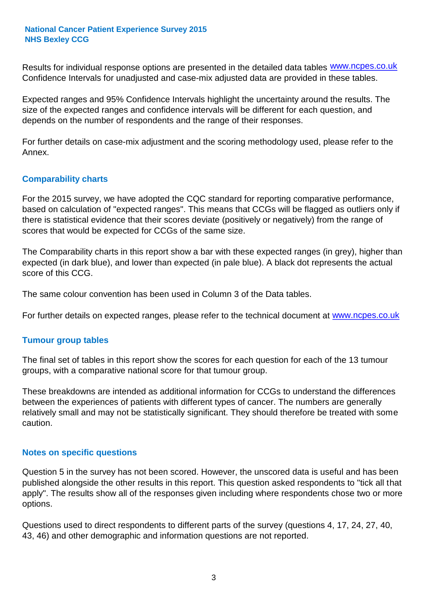Results for individual response options are presented in the detailed data tables **WWW.ncpes.co.uk** Confidence Intervals for unadjusted and case-mix adjusted data are provided in these tables.

Expected ranges and 95% Confidence Intervals highlight the uncertainty around the results. The size of the expected ranges and confidence intervals will be different for each question, and depends on the number of respondents and the range of their responses.

For further details on case-mix adjustment and the scoring methodology used, please refer to the Annex.

### **Comparability charts**

For the 2015 survey, we have adopted the CQC standard for reporting comparative performance, based on calculation of "expected ranges". This means that CCGs will be flagged as outliers only if there is statistical evidence that their scores deviate (positively or negatively) from the range of scores that would be expected for CCGs of the same size.

The Comparability charts in this report show a bar with these expected ranges (in grey), higher than expected (in dark blue), and lower than expected (in pale blue). A black dot represents the actual score of this CCG.

The same colour convention has been used in Column 3 of the Data tables.

For further details on expected ranges, please refer to the technical document at **www.ncpes.co.uk** 

#### **Tumour group tables**

The final set of tables in this report show the scores for each question for each of the 13 tumour groups, with a comparative national score for that tumour group.

These breakdowns are intended as additional information for CCGs to understand the differences between the experiences of patients with different types of cancer. The numbers are generally relatively small and may not be statistically significant. They should therefore be treated with some caution.

#### **Notes on specific questions**

Question 5 in the survey has not been scored. However, the unscored data is useful and has been published alongside the other results in this report. This question asked respondents to "tick all that apply". The results show all of the responses given including where respondents chose two or more options.

Questions used to direct respondents to different parts of the survey (questions 4, 17, 24, 27, 40, 43, 46) and other demographic and information questions are not reported.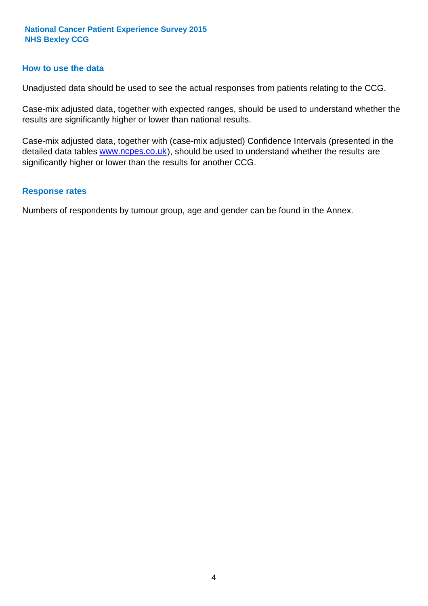#### **How to use the data**

Unadjusted data should be used to see the actual responses from patients relating to the CCG.

Case-mix adjusted data, together with expected ranges, should be used to understand whether the results are significantly higher or lower than national results.

Case-mix adjusted data, together with (case-mix adjusted) Confidence Intervals (presented in the detailed data tables **www.ncpes.co.uk**), should be used to understand whether the results are significantly higher or lower than the results for another CCG.

#### **Response rates**

Numbers of respondents by tumour group, age and gender can be found in the Annex.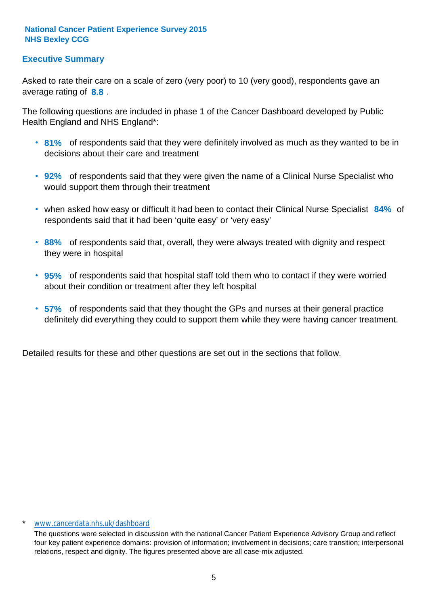### **Executive Summary**

average rating of **8.8**. Asked to rate their care on a scale of zero (very poor) to 10 (very good), respondents gave an

The following questions are included in phase 1 of the Cancer Dashboard developed by Public Health England and NHS England\*:

- **81%** of respondents said that they were definitely involved as much as they wanted to be in decisions about their care and treatment
- **92%** of respondents said that they were given the name of a Clinical Nurse Specialist who would support them through their treatment
- when asked how easy or difficult it had been to contact their Clinical Nurse Specialist 84% of respondents said that it had been 'quite easy' or 'very easy'
- **88%** of respondents said that, overall, they were always treated with dignity and respect they were in hospital
- **95%** of respondents said that hospital staff told them who to contact if they were worried about their condition or treatment after they left hospital
- **57%** of respondents said that they thought the GPs and nurses at their general practice definitely did everything they could to support them while they were having cancer treatment.

Detailed results for these and other questions are set out in the sections that follow.

#### \* www.cancerdata.nhs.uk/dashboard

The questions were selected in discussion with the national Cancer Patient Experience Advisory Group and reflect four key patient experience domains: provision of information; involvement in decisions; care transition; interpersonal relations, respect and dignity. The figures presented above are all case-mix adjusted.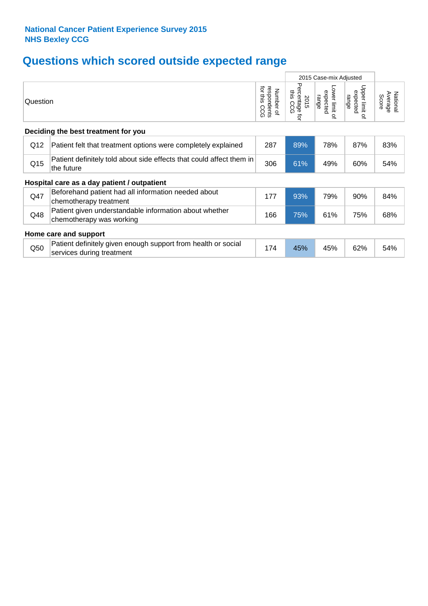# **Questions which scored outside expected range**

|                                     |                                                                                            |                                             | 2015 Case-mix Adjusted              |                                                    |                                              |                              |  |
|-------------------------------------|--------------------------------------------------------------------------------------------|---------------------------------------------|-------------------------------------|----------------------------------------------------|----------------------------------------------|------------------------------|--|
| Question                            |                                                                                            | for this<br>respondents<br>Number of<br>CCG | Percentage<br>this CCG<br>2015<br>ţ | Lower limit<br>expected<br>range<br>$\overline{a}$ | Upper limit<br>expected<br>range<br>$\Omega$ | Average<br>National<br>Score |  |
| Deciding the best treatment for you |                                                                                            |                                             |                                     |                                                    |                                              |                              |  |
| Q12                                 | Patient felt that treatment options were completely explained                              | 287                                         | 89%                                 | 78%                                                | 87%                                          | 83%                          |  |
| Q15                                 | Patient definitely told about side effects that could affect them in<br>the future         | 306                                         | 61%                                 | 49%                                                | 60%                                          | 54%                          |  |
|                                     | Hospital care as a day patient / outpatient                                                |                                             |                                     |                                                    |                                              |                              |  |
| Q47                                 | Beforehand patient had all information needed about<br>chemotherapy treatment              | 177                                         | 93%                                 | 79%                                                | 90%                                          | 84%                          |  |
| Q48                                 | Patient given understandable information about whether<br>chemotherapy was working         | 166                                         | 75%                                 | 61%                                                | 75%                                          | 68%                          |  |
| Home care and support               |                                                                                            |                                             |                                     |                                                    |                                              |                              |  |
| Q50                                 | Patient definitely given enough support from health or social<br>services during treatment | 174                                         | 45%                                 | 45%                                                | 62%                                          | 54%                          |  |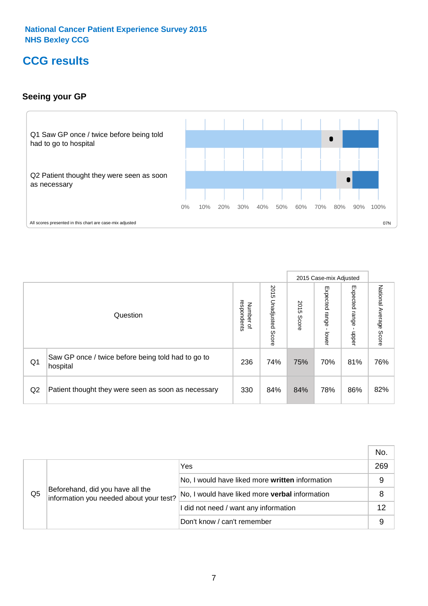# **CCG results**

### **Seeing your GP**



|    |                                                                |                                              |                             |               | 2015 Case-mix Adjusted     |                            |                           |
|----|----------------------------------------------------------------|----------------------------------------------|-----------------------------|---------------|----------------------------|----------------------------|---------------------------|
|    | Question                                                       | respondents<br>Number<br>$\overline{\sigma}$ | 2015<br>Unadjusted<br>Score | 2015<br>Score | Expected<br>range<br>lower | Expected<br>range<br>nbber | National Average<br>Score |
| Q1 | Saw GP once / twice before being told had to go to<br>hospital | 236                                          | 74%                         | 75%           | 70%                        | 81%                        | 76%                       |
| Q2 | Patient thought they were seen as soon as necessary            | 330                                          | 84%                         | 84%           | 78%                        | 86%                        | 82%                       |

|    |                                                                             |                                                 | No. |
|----|-----------------------------------------------------------------------------|-------------------------------------------------|-----|
|    | Beforehand, did you have all the<br>information you needed about your test? | Yes                                             | 269 |
|    |                                                                             | No, I would have liked more written information | 9   |
| Q5 |                                                                             | No, I would have liked more verbal information  | 8   |
|    |                                                                             | I did not need / want any information           | 12  |
|    |                                                                             | Don't know / can't remember                     | 9   |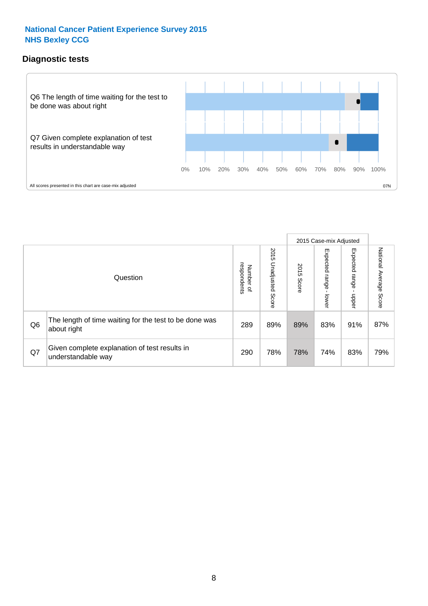### **Diagnostic tests**



|                |                                                                       |                                       |                             |               | 2015 Case-mix Adjusted       |                         |                           |
|----------------|-----------------------------------------------------------------------|---------------------------------------|-----------------------------|---------------|------------------------------|-------------------------|---------------------------|
|                | Question                                                              | respondents<br>Number<br>$\mathbf{Q}$ | 2015<br>Unadjusted<br>Score | 2015<br>Score | Expected<br>I range<br>lower | Expected range<br>nbber | National Average<br>Score |
| Q <sub>6</sub> | The length of time waiting for the test to be done was<br>about right | 289                                   | 89%                         | 89%           | 83%                          | 91%                     | 87%                       |
| Q7             | Given complete explanation of test results in<br>understandable way   | 290                                   | 78%                         | 78%           | 74%                          | 83%                     | 79%                       |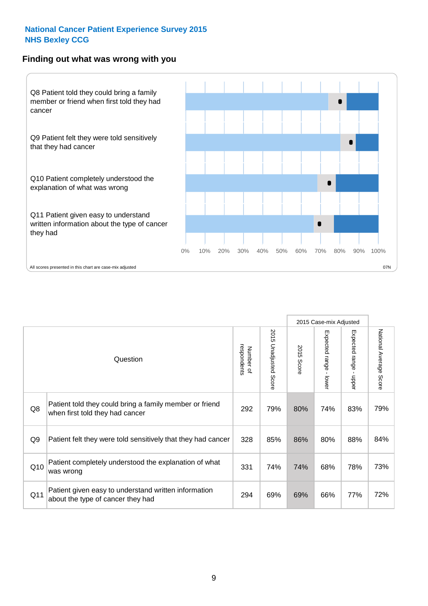#### **Finding out what was wrong with you**



|                 |                                                                                            |                          |                                 |               | 2015 Case-mix Adjusted |                                         |                           |
|-----------------|--------------------------------------------------------------------------------------------|--------------------------|---------------------------------|---------------|------------------------|-----------------------------------------|---------------------------|
|                 | Question                                                                                   | respondents<br>Number of | 2015 Unadjusted<br><b>Score</b> | 2015<br>Score | Expected range - lower | Expected range<br>$\mathbf{r}$<br>nbber | National Average<br>Score |
| Q8              | Patient told they could bring a family member or friend<br>when first told they had cancer | 292                      | 79%                             | 80%           | 74%                    | 83%                                     | 79%                       |
| Q <sub>9</sub>  | Patient felt they were told sensitively that they had cancer                               | 328                      | 85%                             | 86%           | 80%                    | 88%                                     | 84%                       |
| Q10             | Patient completely understood the explanation of what<br>was wrong                         | 331                      | 74%                             | 74%           | 68%                    | 78%                                     | 73%                       |
| Q <sub>11</sub> | Patient given easy to understand written information<br>about the type of cancer they had  | 294                      | 69%                             | 69%           | 66%                    | 77%                                     | 72%                       |
|                 |                                                                                            |                          |                                 |               |                        |                                         |                           |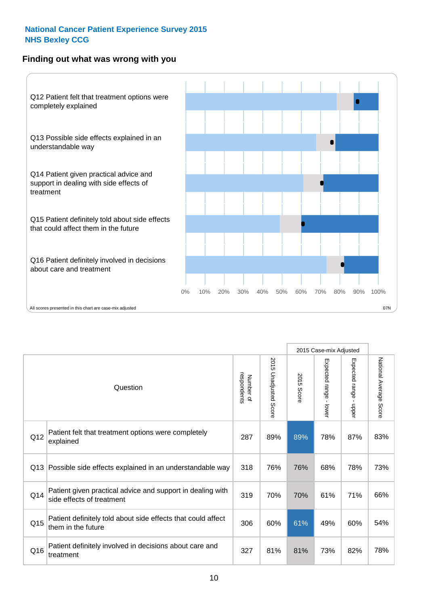### **Finding out what was wrong with you**



|     |                                                                                         |                          |                       |               | 2015 Case-mix Adjusted                    |                           |                        |
|-----|-----------------------------------------------------------------------------------------|--------------------------|-----------------------|---------------|-------------------------------------------|---------------------------|------------------------|
|     | Question                                                                                | respondents<br>Number of | 2015 Unadjusted Score | 2015<br>Score | Expected range<br>$\blacksquare$<br>lower | Expected range<br>- nbber | National Average Score |
| Q12 | Patient felt that treatment options were completely<br>explained                        | 287                      | 89%                   | 89%           | 78%                                       | 87%                       | 83%                    |
| Q13 | Possible side effects explained in an understandable way                                | 318                      | 76%                   | 76%           | 68%                                       | 78%                       | 73%                    |
| Q14 | Patient given practical advice and support in dealing with<br>side effects of treatment | 319                      | 70%                   | 70%           | 61%                                       | 71%                       | 66%                    |
| Q15 | Patient definitely told about side effects that could affect<br>them in the future      | 306                      | 60%                   | 61%           | 49%                                       | 60%                       | 54%                    |
| Q16 | Patient definitely involved in decisions about care and<br>treatment                    | 327                      | 81%                   | 81%           | 73%                                       | 82%                       | 78%                    |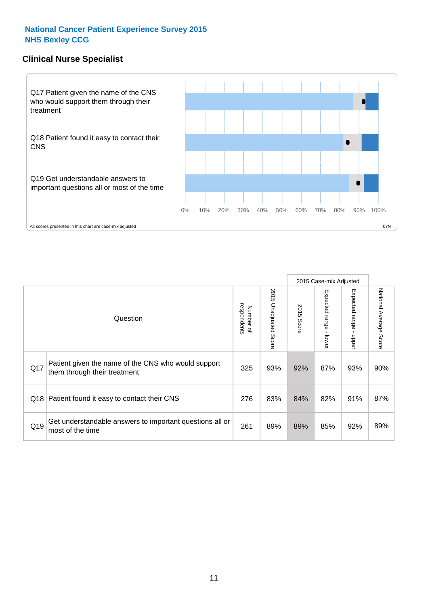### **Clinical Nurse Specialist**



|     |                                                                                     |                          |                       |               | 2015 Case-mix Adjusted  |                         |                           |
|-----|-------------------------------------------------------------------------------------|--------------------------|-----------------------|---------------|-------------------------|-------------------------|---------------------------|
|     | Question                                                                            | respondents<br>Number of | 2015 Unadjusted Score | 2015<br>Score | Expected range<br>lower | Expected range<br>nbber | National Average<br>Score |
| Q17 | Patient given the name of the CNS who would support<br>them through their treatment | 325                      | 93%                   | 92%           | 87%                     | 93%                     | 90%                       |
| Q18 | Patient found it easy to contact their CNS                                          | 276                      | 83%                   | 84%           | 82%                     | 91%                     | 87%                       |
| Q19 | Get understandable answers to important questions all or<br>most of the time        | 261                      | 89%                   | 89%           | 85%                     | 92%                     | 89%                       |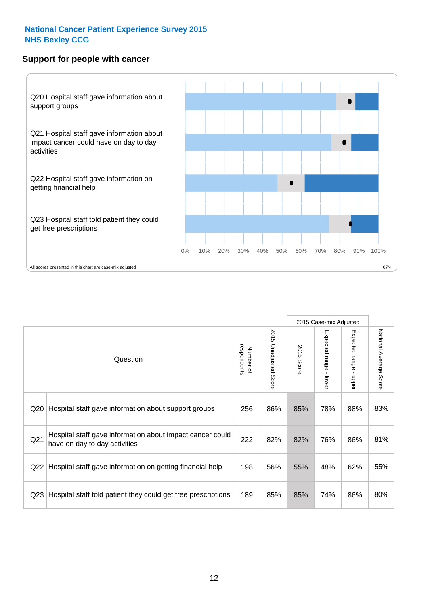### **Support for people with cancer**



|                 |                                                                                            |                          |                                 |               | 2015 Case-mix Adjusted  |                                         |                        |
|-----------------|--------------------------------------------------------------------------------------------|--------------------------|---------------------------------|---------------|-------------------------|-----------------------------------------|------------------------|
|                 | Question                                                                                   | respondents<br>Number of | 2015<br><b>Unadjusted Score</b> | 2015<br>Score | Expected range<br>lower | Expected range<br>$\mathbf{I}$<br>nbber | National Average Score |
| Q <sub>20</sub> | Hospital staff gave information about support groups                                       | 256                      | 86%                             | 85%           | 78%                     | 88%                                     | 83%                    |
| Q <sub>21</sub> | Hospital staff gave information about impact cancer could<br>have on day to day activities | 222                      | 82%                             | 82%           | 76%                     | 86%                                     | 81%                    |
| Q22             | Hospital staff gave information on getting financial help                                  | 198                      | 56%                             | 55%           | 48%                     | 62%                                     | 55%                    |
| Q <sub>23</sub> | Hospital staff told patient they could get free prescriptions                              | 189                      | 85%                             | 85%           | 74%                     | 86%                                     | 80%                    |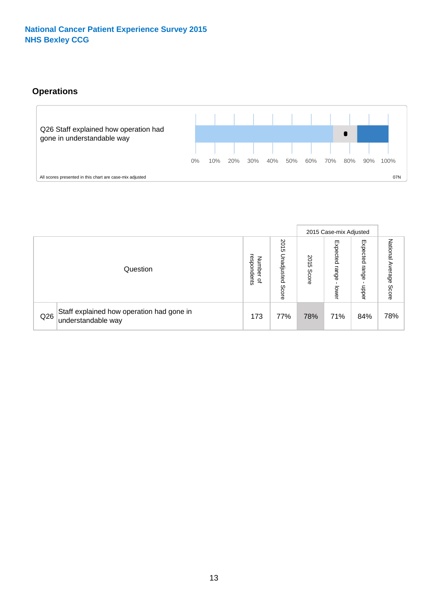# **Operations**



|     |                                                                 |                                              |                             |               | 2015 Case-mix Adjusted     |                           |                              |
|-----|-----------------------------------------------------------------|----------------------------------------------|-----------------------------|---------------|----------------------------|---------------------------|------------------------------|
|     | Question                                                        | respondents<br>Number<br>$\overline{\sigma}$ | 2015<br>Unadjusted<br>Score | 2015<br>Score | Expected<br>range<br>lower | Expected<br>range<br>dddn | National<br>Average<br>Score |
| Q26 | Staff explained how operation had gone in<br>understandable way | 173                                          | 77%                         | 78%           | 71%                        | 84%                       | 78%                          |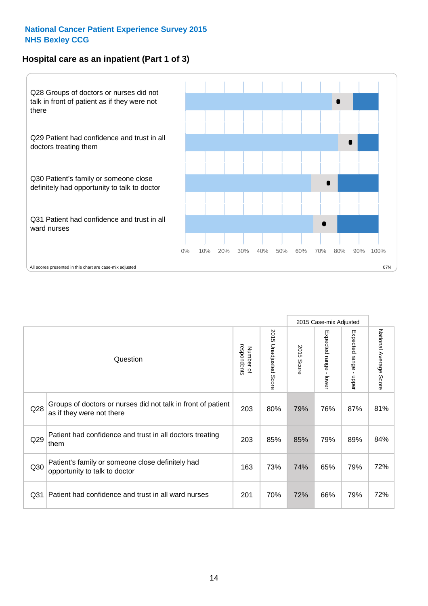# **Hospital care as an inpatient (Part 1 of 3)**



All scores presented in this chart are case-mix adjusted  $07N$ 

|                 |                                                                                           |                          |                                 |                      | 2015 Case-mix Adjusted                    |                                         |                        |
|-----------------|-------------------------------------------------------------------------------------------|--------------------------|---------------------------------|----------------------|-------------------------------------------|-----------------------------------------|------------------------|
|                 | Question                                                                                  | respondents<br>Number of | 2015<br><b>Unadjusted Score</b> | 2015<br><b>Score</b> | Expected range<br>$\blacksquare$<br>lower | Expected range<br>$\mathbf{I}$<br>nbber | National Average Score |
| Q28             | Groups of doctors or nurses did not talk in front of patient<br>as if they were not there | 203                      | 80%                             | 79%                  | 76%                                       | 87%                                     | 81%                    |
| Q29             | Patient had confidence and trust in all doctors treating<br>them                          | 203                      | 85%                             | 85%                  | 79%                                       | 89%                                     | 84%                    |
| Q30             | Patient's family or someone close definitely had<br>opportunity to talk to doctor         | 163                      | 73%                             | 74%                  | 65%                                       | 79%                                     | 72%                    |
| Q <sub>31</sub> | Patient had confidence and trust in all ward nurses                                       | 201                      | 70%                             | 72%                  | 66%                                       | 79%                                     | 72%                    |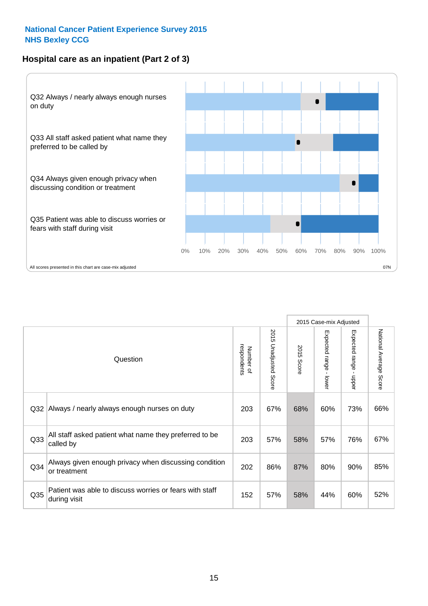### **Hospital care as an inpatient (Part 2 of 3)**



2015 Case-mix Adjusted National Average Score 2015 Unadjusted Score Expected range - lower Expected range - upper 2015 Unadjusted Score Expected range - upper Expected range - lower Number of<br>respondents respondents 2015 Score 2015 Score Number of Question Q32 |Always / nearly always enough nurses on duty  $\qquad \qquad \qquad \qquad$  203 | 67% | 68% | 60% | 73% | 66% Q33 203 57% 58% 57% 76% All staff asked patient what name they preferred to be called by 67% Q34 Always given enough privacy when discussing condition  $\begin{array}{|c|c|c|c|c|c|}\n\hline\n\text{Q34} & \text{or } & \text{so} & \text{so} & \text{so} & \text{so} \\
\hline\n\end{array}$ or treatment 85% Patient was able to discuss worries or fears with staff during visit during visit  $\frac{32}{152}$  and  $\frac{32}{152}$  57% 58% 44% 60% 52%  $Q35$  |  $\frac{1}{2}$  152 | 57% | 58% | 44% | 60%

National Average Score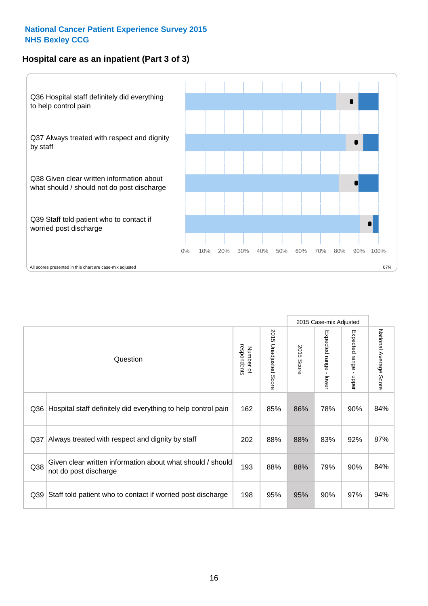### **Hospital care as an inpatient (Part 3 of 3)**



2015 Case-mix Adjusted National Average Score 2015 Unadjusted Score Expected range - lower Expected range - upper 2015 Unadjusted Score Expected range - upper Expected range - lower Number of<br>respondents respondents 2015 Score 2015 Score Number of Question Q36 Rospital staff definitely did everything to help control pain | 162 | 85% | 86% | 78% | 90% | 84% Q37 202 88% 88% 83% 92% Always treated with respect and dignity by staff 87% Given clear written information about what should / should Q38 not do post discharge and the state of the color of the color of the color of the color of the color of the color of the color of the color of the color of the color of the color of the color of the color of the color Q39 Staff told patient who to contact if worried post discharge | 198 | 95% | 95% | 90% | 97% | 94%

National Average Score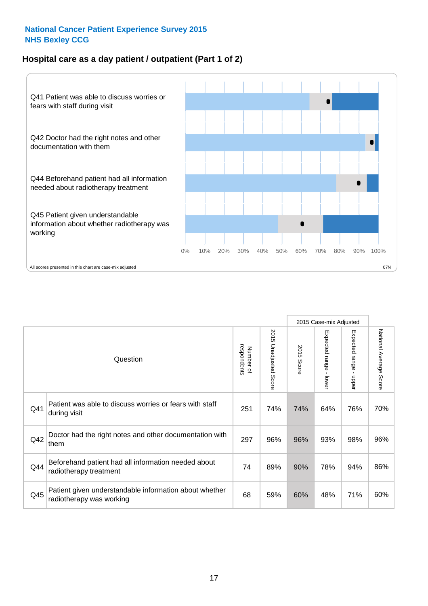### **Hospital care as a day patient / outpatient (Part 1 of 2)**



|     |                                                                                    |                          |                                     |               | 2015 Case-mix Adjusted                  |                                           |                        |
|-----|------------------------------------------------------------------------------------|--------------------------|-------------------------------------|---------------|-----------------------------------------|-------------------------------------------|------------------------|
|     | Question                                                                           | respondents<br>Number of | 201<br>C<br><b>Unadjusted Score</b> | 2015<br>Score | Expected range<br>$\mathbf{I}$<br>lower | Expected range<br>$\blacksquare$<br>nbber | National Average Score |
| Q41 | Patient was able to discuss worries or fears with staff<br>during visit            | 251                      | 74%                                 | 74%           | 64%                                     | 76%                                       | 70%                    |
| Q42 | Doctor had the right notes and other documentation with<br>them                    | 297                      | 96%                                 | 96%           | 93%                                     | 98%                                       | 96%                    |
| Q44 | Beforehand patient had all information needed about<br>radiotherapy treatment      | 74                       | 89%                                 | 90%           | 78%                                     | 94%                                       | 86%                    |
| Q45 | Patient given understandable information about whether<br>radiotherapy was working | 68                       | 59%                                 | 60%           | 48%                                     | 71%                                       | 60%                    |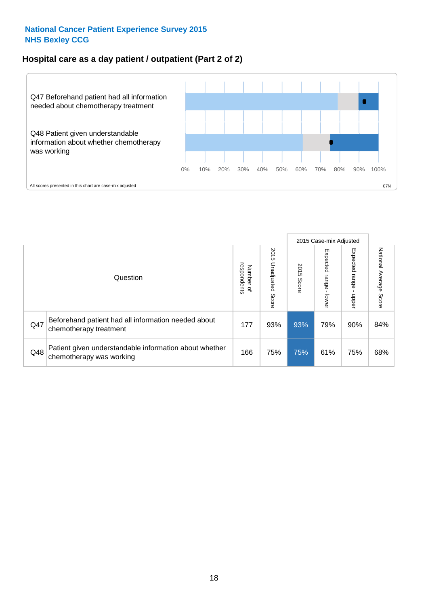### **Hospital care as a day patient / outpatient (Part 2 of 2)**



|     |                                                                                    |                             |                             |               | 2015 Case-mix Adjusted            |                         |                           |
|-----|------------------------------------------------------------------------------------|-----------------------------|-----------------------------|---------------|-----------------------------------|-------------------------|---------------------------|
|     | Question                                                                           | respondents<br>Number<br>டி | 2015<br>Unadjusted<br>Score | 2015<br>Score | Expected<br><b>Lange</b><br>lower | Expected range<br>doper | National Average<br>Score |
| Q47 | Beforehand patient had all information needed about<br>chemotherapy treatment      | 177                         | 93%                         | 93%           | 79%                               | 90%                     | 84%                       |
| Q48 | Patient given understandable information about whether<br>chemotherapy was working | 166                         | 75%                         | 75%           | 61%                               | 75%                     | 68%                       |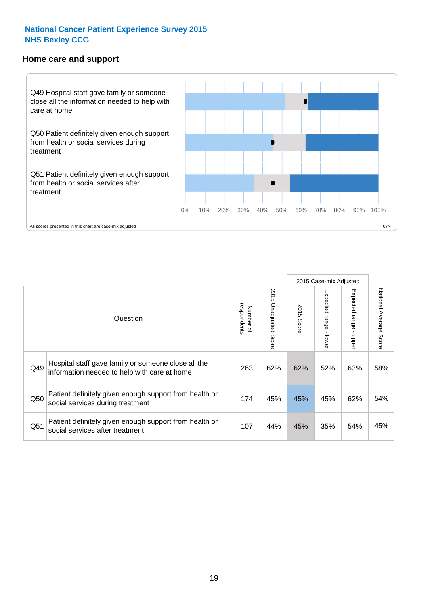#### **Home care and support**



|     |                                                                                                     |                          |                          | 2015 Case-mix Adjusted |                              |                        |                        |
|-----|-----------------------------------------------------------------------------------------------------|--------------------------|--------------------------|------------------------|------------------------------|------------------------|------------------------|
|     | Question                                                                                            | respondents<br>Number of | 2015<br>Unadjusted Score | 2015<br>Score          | Expected<br>l range<br>lower | Expected range<br>mper | National Average Score |
| Q49 | Hospital staff gave family or someone close all the<br>information needed to help with care at home | 263                      | 62%                      | 62%                    | 52%                          | 63%                    | 58%                    |
| Q50 | Patient definitely given enough support from health or<br>social services during treatment          | 174                      | 45%                      | 45%                    | 45%                          | 62%                    | 54%                    |
| Q51 | Patient definitely given enough support from health or<br>social services after treatment           | 107                      | 44%                      | 45%                    | 35%                          | 54%                    | 45%                    |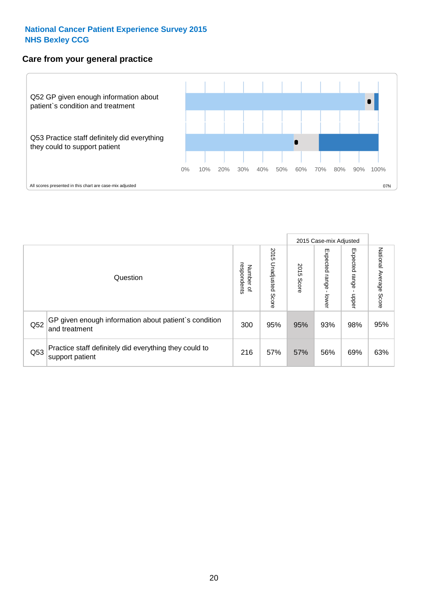### **Care from your general practice**



|     |                                                                           |                                       |                             |               | 2015 Case-mix Adjusted             |                            |                           |
|-----|---------------------------------------------------------------------------|---------------------------------------|-----------------------------|---------------|------------------------------------|----------------------------|---------------------------|
|     | Question                                                                  | respondents<br>Number<br>$\mathbf{Q}$ | 2015<br>Unadjusted<br>Score | 2015<br>Score | Expected<br><b>Irange</b><br>lower | Expected<br>range<br>doper | National Average<br>Score |
| Q52 | GP given enough information about patient's condition<br>and treatment    | 300                                   | 95%                         | 95%           | 93%                                | 98%                        | 95%                       |
| Q53 | Practice staff definitely did everything they could to<br>support patient | 216                                   | 57%                         | 57%           | 56%                                | 69%                        | 63%                       |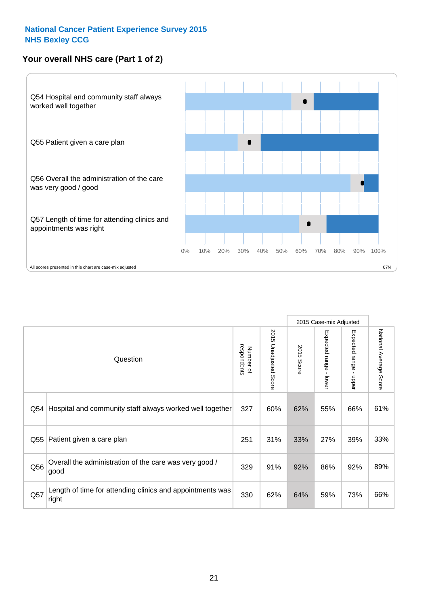# **Your overall NHS care (Part 1 of 2)**



|     |                                                                    |                          |                          | 2015 Case-mix Adjusted |                                           |                                           |                        |
|-----|--------------------------------------------------------------------|--------------------------|--------------------------|------------------------|-------------------------------------------|-------------------------------------------|------------------------|
|     | Question                                                           | respondents<br>Number of | 2015<br>Unadjusted Score | 2015<br><b>Score</b>   | Expected range<br>$\blacksquare$<br>lower | Expected range<br>$\blacksquare$<br>nbber | National Average Score |
| Q54 | Hospital and community staff always worked well together           | 327                      | 60%                      | 62%                    | 55%                                       | 66%                                       | 61%                    |
| Q55 | Patient given a care plan                                          | 251                      | 31%                      | 33%                    | 27%                                       | 39%                                       | 33%                    |
| Q56 | Overall the administration of the care was very good /<br>good     | 329                      | 91%                      | 92%                    | 86%                                       | 92%                                       | 89%                    |
| Q57 | Length of time for attending clinics and appointments was<br>right | 330                      | 62%                      | 64%                    | 59%                                       | 73%                                       | 66%                    |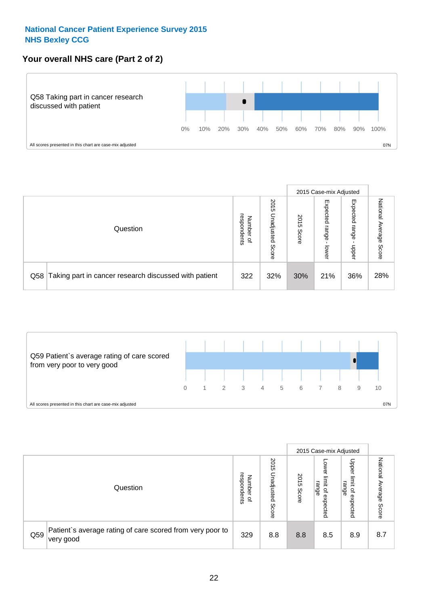## **Your overall NHS care (Part 2 of 2)**



|     |                                                       |                                   |                             | 2015 Case-mix Adjusted |                            |                            |                        |
|-----|-------------------------------------------------------|-----------------------------------|-----------------------------|------------------------|----------------------------|----------------------------|------------------------|
|     | Question                                              | respondents<br>Number<br>$\Omega$ | 2015<br>Unadjusted<br>Score | 2015<br>Score          | Expected<br>range<br>lower | Expected<br>range<br>nbber | National Average Score |
| Q58 | Taking part in cancer research discussed with patient | 322                               | 32%                         | 30%                    | 21%                        | 36%                        | 28%                    |



|     |                                                                        |                                              |                             |               | 2015 Case-mix Adjusted                  |                                                       |                              |
|-----|------------------------------------------------------------------------|----------------------------------------------|-----------------------------|---------------|-----------------------------------------|-------------------------------------------------------|------------------------------|
|     | Question                                                               | respondents<br>Number<br>$\overline{\sigma}$ | 2015<br>Jnadjusted<br>Score | 2015<br>Score | OWer<br>limit<br>range<br>٩<br>expected | Upper<br>limit<br>range<br>$\overline{a}$<br>expected | National<br>Average<br>Score |
| Q59 | Patient's average rating of care scored from very poor to<br>very good | 329                                          | 8.8                         | 8.8           | 8.5                                     | 8.9                                                   | 8.7                          |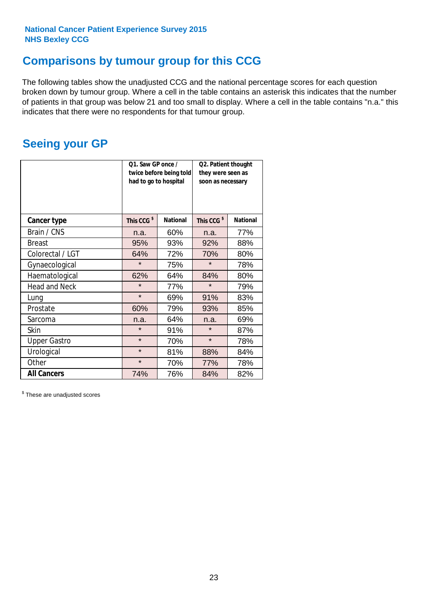# **Comparisons by tumour group for this CCG**

The following tables show the unadjusted CCG and the national percentage scores for each question broken down by tumour group. Where a cell in the table contains an asterisk this indicates that the number of patients in that group was below 21 and too small to display. Where a cell in the table contains "n.a." this indicates that there were no respondents for that tumour group.

# **Seeing your GP**

|                      | Q1. Saw GP once /<br>had to go to hospital | twice before being told | Q2. Patient thought<br>they were seen as<br>soon as necessary |                 |  |
|----------------------|--------------------------------------------|-------------------------|---------------------------------------------------------------|-----------------|--|
| <b>Cancer type</b>   | This CCG <sup>\$</sup>                     | <b>National</b>         | This CCG <sup>\$</sup>                                        | <b>National</b> |  |
| Brain / CNS          | n.a.                                       | 60%                     | n.a.                                                          | 77%             |  |
| <b>Breast</b>        | 95%                                        | 93%                     | 92%                                                           | 88%             |  |
| Colorectal / LGT     | 64%                                        | 72%                     | 70%                                                           | 80%             |  |
| Gynaecological       | $\star$                                    | 75%                     | $\star$                                                       | 78%             |  |
| Haematological       | 62%                                        | 64%                     | 84%                                                           | 80%             |  |
| <b>Head and Neck</b> | $\star$                                    | 77%                     | $\star$                                                       | 79%             |  |
| Lung                 | $\star$                                    | 69%                     | 91%                                                           | 83%             |  |
| Prostate             | 60%                                        | 79%                     | 93%                                                           | 85%             |  |
| Sarcoma              | n.a.                                       | 64%                     | n.a.                                                          | 69%             |  |
| Skin                 | $\star$                                    | 91%                     | $\star$                                                       | 87%             |  |
| <b>Upper Gastro</b>  | $\star$                                    | 70%                     | $\star$                                                       | 78%             |  |
| Urological           | $\star$                                    | 81%                     | 88%                                                           | 84%             |  |
| Other                | $\star$                                    | 70%                     | 77%                                                           | 78%             |  |
| <b>All Cancers</b>   | 74%                                        | 76%                     | 84%                                                           | 82%             |  |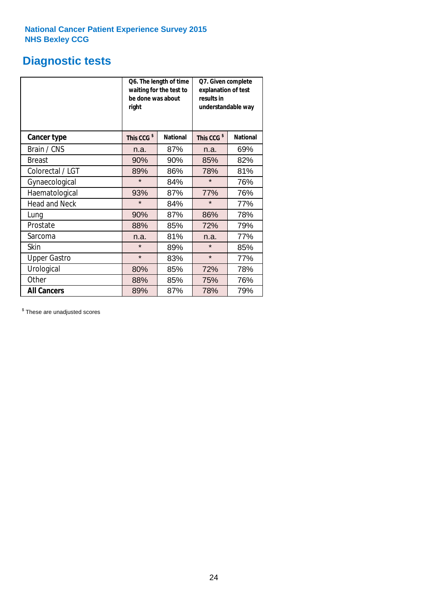# **Diagnostic tests**

|                      | be done was about<br>right | Q6. The length of time<br>waiting for the test to | Q7. Given complete<br>explanation of test<br>results in<br>understandable way |                 |  |
|----------------------|----------------------------|---------------------------------------------------|-------------------------------------------------------------------------------|-----------------|--|
| <b>Cancer type</b>   | This CCG <sup>\$</sup>     | <b>National</b>                                   | This CCG <sup>\$</sup>                                                        | <b>National</b> |  |
| Brain / CNS          | n.a.                       | 87%                                               | n.a.                                                                          | 69%             |  |
| Breast               | 90%                        | 90%                                               | 85%                                                                           | 82%             |  |
| Colorectal / LGT     | 89%                        | 86%                                               | 78%                                                                           | 81%             |  |
| Gynaecological       | $\star$                    | 84%                                               | $\star$                                                                       | 76%             |  |
| Haematological       | 93%                        | 87%                                               | 77%                                                                           | 76%             |  |
| <b>Head and Neck</b> | $\star$                    | 84%                                               | $\star$                                                                       | 77%             |  |
| Lung                 | 90%                        | 87%                                               | 86%                                                                           | 78%             |  |
| Prostate             | 88%                        | 85%                                               | 72%                                                                           | 79%             |  |
| Sarcoma              | n.a.                       | 81%                                               | n.a.                                                                          | 77%             |  |
| Skin                 | $\star$                    | 89%                                               | $\star$                                                                       | 85%             |  |
| <b>Upper Gastro</b>  | $\star$                    | 83%                                               | $\star$                                                                       | 77%             |  |
| Urological           | 80%                        | 85%                                               | 72%                                                                           | 78%             |  |
| Other                | 88%                        | 85%                                               | 75%                                                                           | 76%             |  |
| <b>All Cancers</b>   | 89%                        | 87%                                               | 78%                                                                           | 79%             |  |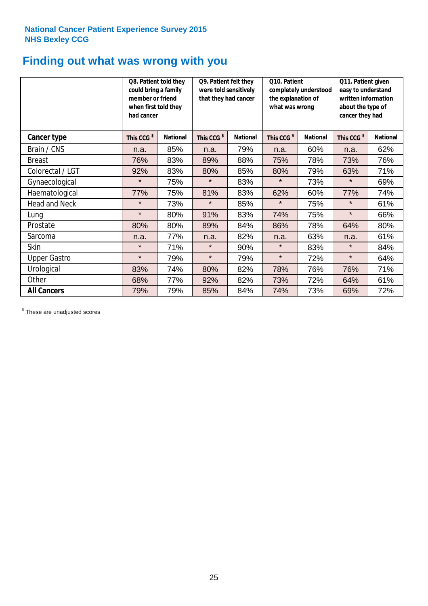# **Finding out what was wrong with you**

|                      | Q8. Patient told they<br>could bring a family<br>member or friend<br>when first told they<br>had cancer |                 | Q9. Patient felt they<br>were told sensitively<br>that they had cancer |                 | Q10. Patient<br>completely understood<br>the explanation of<br>what was wrong |                 | Q11. Patient given<br>easy to understand<br>written information<br>about the type of<br>cancer they had |                 |
|----------------------|---------------------------------------------------------------------------------------------------------|-----------------|------------------------------------------------------------------------|-----------------|-------------------------------------------------------------------------------|-----------------|---------------------------------------------------------------------------------------------------------|-----------------|
| Cancer type          | This CCG <sup>\$</sup>                                                                                  | <b>National</b> | This CCG <sup>\$</sup>                                                 | <b>National</b> | This CCG <sup>\$</sup>                                                        | <b>National</b> | This CCG <sup>\$</sup>                                                                                  | <b>National</b> |
| Brain / CNS          | n.a.                                                                                                    | 85%             | n.a.                                                                   | 79%             | n.a.                                                                          | 60%             | n.a.                                                                                                    | 62%             |
| <b>Breast</b>        | 76%                                                                                                     | 83%             | 89%                                                                    | 88%             | 75%                                                                           | 78%             | 73%                                                                                                     | 76%             |
| Colorectal / LGT     | 92%                                                                                                     | 83%             | 80%                                                                    | 85%             | 80%                                                                           | 79%             | 63%                                                                                                     | 71%             |
| Gynaecological       | $\star$                                                                                                 | 75%             | $\star$                                                                | 83%             | $\star$                                                                       | 73%             | $\star$                                                                                                 | 69%             |
| Haematological       | 77%                                                                                                     | 75%             | 81%                                                                    | 83%             | 62%                                                                           | 60%             | 77%                                                                                                     | 74%             |
| <b>Head and Neck</b> | $\star$                                                                                                 | 73%             | $\star$                                                                | 85%             | $\star$                                                                       | 75%             | $\star$                                                                                                 | 61%             |
| Lung                 | $\star$                                                                                                 | 80%             | 91%                                                                    | 83%             | 74%                                                                           | 75%             | $\star$                                                                                                 | 66%             |
| Prostate             | 80%                                                                                                     | 80%             | 89%                                                                    | 84%             | 86%                                                                           | 78%             | 64%                                                                                                     | 80%             |
| Sarcoma              | n.a.                                                                                                    | 77%             | n.a.                                                                   | 82%             | n.a.                                                                          | 63%             | n.a.                                                                                                    | 61%             |
| Skin                 | $\star$                                                                                                 | 71%             | $\star$                                                                | 90%             | $\star$                                                                       | 83%             | $\star$                                                                                                 | 84%             |
| <b>Upper Gastro</b>  | $\star$                                                                                                 | 79%             | $\star$                                                                | 79%             | $\star$                                                                       | 72%             | $\star$                                                                                                 | 64%             |
| Urological           | 83%                                                                                                     | 74%             | 80%                                                                    | 82%             | 78%                                                                           | 76%             | 76%                                                                                                     | 71%             |
| Other                | 68%                                                                                                     | 77%             | 92%                                                                    | 82%             | 73%                                                                           | 72%             | 64%                                                                                                     | 61%             |
| <b>All Cancers</b>   | 79%                                                                                                     | 79%             | 85%                                                                    | 84%             | 74%                                                                           | 73%             | 69%                                                                                                     | 72%             |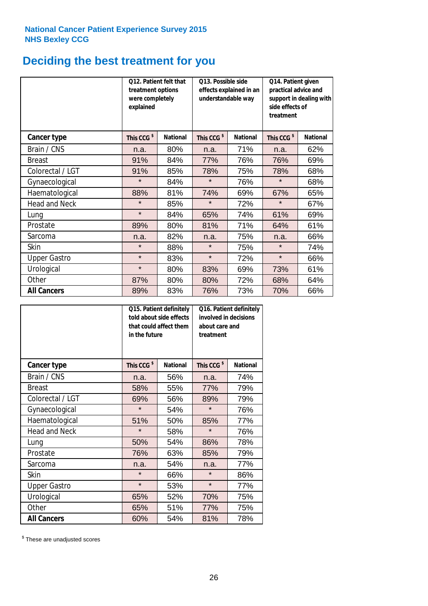# **Deciding the best treatment for you**

|                      | treatment options<br>were completely<br>explained | <b>Q12. Patient felt that</b> | Q13. Possible side<br>understandable way | effects explained in an | Q14. Patient given<br>practical advice and<br>support in dealing with<br>side effects of<br>treatment |                 |  |
|----------------------|---------------------------------------------------|-------------------------------|------------------------------------------|-------------------------|-------------------------------------------------------------------------------------------------------|-----------------|--|
| <b>Cancer type</b>   | This CCG <sup>\$</sup>                            | <b>National</b>               | This CCG <sup>\$</sup>                   | <b>National</b>         | This CCG <sup>\$</sup>                                                                                | <b>National</b> |  |
| Brain / CNS          | n.a.                                              | 80%                           | n.a.                                     | 71%                     | n.a.                                                                                                  | 62%             |  |
| <b>Breast</b>        | 91%                                               | 84%                           | 77%                                      | 76%                     | 76%                                                                                                   | 69%             |  |
| Colorectal / LGT     | 91%                                               | 85%                           | 78%                                      | 75%                     | 78%                                                                                                   | 68%             |  |
| Gynaecological       | $\star$                                           | 84%                           | $\star$                                  | 76%                     | $\star$                                                                                               | 68%             |  |
| Haematological       | 88%                                               | 81%                           | 74%                                      | 69%                     | 67%                                                                                                   | 65%             |  |
| <b>Head and Neck</b> | $\star$                                           | 85%                           | $\star$                                  | 72%                     | $\star$                                                                                               | 67%             |  |
| Lung                 | $\star$                                           | 84%                           | 65%                                      | 74%                     | 61%                                                                                                   | 69%             |  |
| Prostate             | 89%                                               | 80%                           | 81%                                      | 71%                     | 64%                                                                                                   | 61%             |  |
| Sarcoma              | n.a.                                              | 82%                           | n.a.                                     | 75%                     | n.a.                                                                                                  | 66%             |  |
| Skin                 | $\star$                                           | 88%                           | $\star$                                  | 75%                     | $\star$                                                                                               | 74%             |  |
| <b>Upper Gastro</b>  | $\star$                                           | 83%                           | $\star$                                  | 72%                     | $\star$                                                                                               | 66%             |  |
| Urological           | $\star$                                           | 80%                           | 83%                                      | 69%                     | 73%                                                                                                   | 61%             |  |
| Other                | 87%                                               | 80%                           | 80%                                      | 72%                     | 68%                                                                                                   | 64%             |  |
| <b>All Cancers</b>   | 89%                                               | 83%                           | 76%                                      | 73%                     | 70%                                                                                                   | 66%             |  |

|                      | Q15. Patient definitely<br>told about side effects<br>that could affect them<br>in the future |                 |                        | Q16. Patient definitely<br>involved in decisions<br>about care and<br>treatment |  |  |
|----------------------|-----------------------------------------------------------------------------------------------|-----------------|------------------------|---------------------------------------------------------------------------------|--|--|
| <b>Cancer type</b>   | This CCG <sup>\$</sup>                                                                        | <b>National</b> | This CCG <sup>\$</sup> | <b>National</b>                                                                 |  |  |
| Brain / CNS          | n.a.                                                                                          | 56%             | n.a.                   | 74%                                                                             |  |  |
| <b>Breast</b>        | 58%                                                                                           | 55%             | 77%                    | 79%                                                                             |  |  |
| Colorectal / LGT     | 69%                                                                                           | 56%             | 89%                    | 79%                                                                             |  |  |
| Gynaecological       | $\star$<br>54%                                                                                |                 | $\star$                | 76%                                                                             |  |  |
| Haematological       | 51%                                                                                           | 50%             | 85%                    | 77%                                                                             |  |  |
| <b>Head and Neck</b> | $\star$                                                                                       | 58%             | $\star$                | 76%                                                                             |  |  |
| Lung                 | 50%                                                                                           | 54%             | 86%                    | 78%                                                                             |  |  |
| Prostate             | 76%                                                                                           | 63%             | 85%                    | 79%                                                                             |  |  |
| Sarcoma              | n.a.                                                                                          | 54%             | n.a.                   | 77%                                                                             |  |  |
| Skin                 | $\star$                                                                                       | 66%             | $\star$                | 86%                                                                             |  |  |
| <b>Upper Gastro</b>  | $\star$                                                                                       | 53%             | $\star$                | 77%                                                                             |  |  |
| Urological           | 65%                                                                                           | 52%             | 70%                    | 75%                                                                             |  |  |
| Other                | 65%                                                                                           | 51%             | 77%                    | 75%                                                                             |  |  |
| <b>All Cancers</b>   | 60%                                                                                           | 54%             | 81%                    | 78%                                                                             |  |  |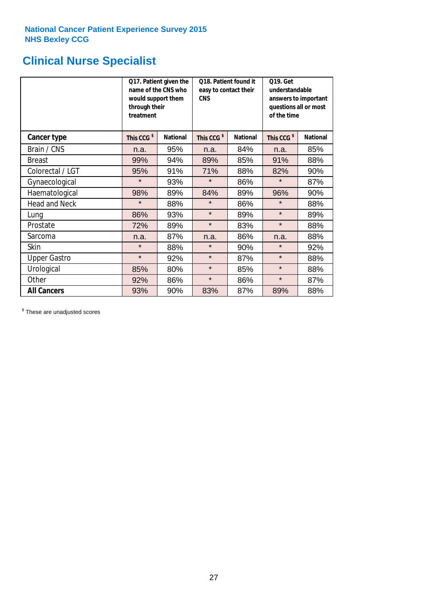# **Clinical Nurse Specialist**

|                     | would support them<br>through their<br>treatment | Q17. Patient given the<br>name of the CNS who | Q18. Patient found it<br>easy to contact their<br><b>CNS</b><br><b>National</b> |     | <b>Q19. Get</b><br>understandable<br>answers to important<br>questions all or most<br>of the time |                 |  |
|---------------------|--------------------------------------------------|-----------------------------------------------|---------------------------------------------------------------------------------|-----|---------------------------------------------------------------------------------------------------|-----------------|--|
| <b>Cancer type</b>  | This CCG <sup>\$</sup>                           | <b>National</b>                               | This CCG <sup>\$</sup>                                                          |     | This CCG <sup>\$</sup>                                                                            | <b>National</b> |  |
| Brain / CNS         | n.a.                                             | 95%                                           | n.a.                                                                            | 84% | n.a.                                                                                              | 85%             |  |
| <b>Breast</b>       | 99%                                              | 94%                                           | 89%                                                                             | 85% | 91%                                                                                               | 88%             |  |
| Colorectal / LGT    | 95%                                              | 91%                                           | 71%                                                                             | 88% | 82%                                                                                               | 90%             |  |
| Gynaecological      | $\star$                                          | 93%                                           | $\star$                                                                         | 86% | $\star$                                                                                           | 87%             |  |
| Haematological      | 98%                                              | 89%                                           | 84%                                                                             | 89% | 96%                                                                                               | 90%             |  |
| Head and Neck       | $\star$                                          | 88%                                           | $\star$                                                                         | 86% | $\star$                                                                                           | 88%             |  |
| Lung                | 86%                                              | 93%                                           | $\star$                                                                         | 89% | $\star$                                                                                           | 89%             |  |
| Prostate            | 72%                                              | 89%                                           | $\star$                                                                         | 83% | $\star$                                                                                           | 88%             |  |
| Sarcoma             | n.a.                                             | 87%                                           | n.a.                                                                            | 86% | n.a.                                                                                              | 88%             |  |
| Skin                | $\star$                                          | 88%                                           | $\star$                                                                         | 90% | $\star$                                                                                           | 92%             |  |
| <b>Upper Gastro</b> | $\star$                                          | 92%                                           | $\star$                                                                         | 87% | $\star$                                                                                           | 88%             |  |
| Urological          | 85%                                              | 80%                                           | $\star$                                                                         | 85% | $\star$                                                                                           | 88%             |  |
| Other               | 92%                                              | 86%                                           | $\star$                                                                         | 86% | $\star$                                                                                           | 87%             |  |
| <b>All Cancers</b>  | 93%                                              | 90%                                           | 83%                                                                             | 87% | 89%                                                                                               | 88%             |  |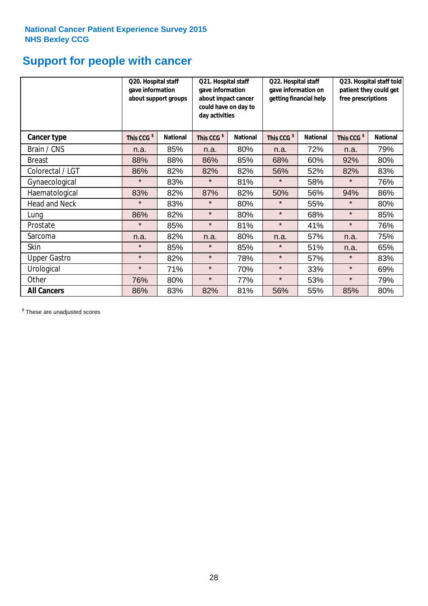# **Support for people with cancer**

|                      | Q20. Hospital staff<br>gave information | about support groups | Q21. Hospital staff<br>gave information<br>about impact cancer<br>could have on day to<br>day activities |                 | Q22. Hospital staff<br>gave information on<br>getting financial help |                 | Q23. Hospital staff told<br>patient they could get<br>free prescriptions |                 |
|----------------------|-----------------------------------------|----------------------|----------------------------------------------------------------------------------------------------------|-----------------|----------------------------------------------------------------------|-----------------|--------------------------------------------------------------------------|-----------------|
| Cancer type          | This CCG <sup>\$</sup>                  | <b>National</b>      | This CCG <sup>\$</sup>                                                                                   | <b>National</b> | This CCG <sup>\$</sup>                                               | <b>National</b> | This CCG <sup>\$</sup>                                                   | <b>National</b> |
| Brain / CNS          | n.a.                                    | 85%                  | n.a.                                                                                                     | 80%             | n.a.                                                                 | 72%             | n.a.                                                                     | 79%             |
| <b>Breast</b>        | 88%                                     | 88%                  | 86%                                                                                                      | 85%             | 68%                                                                  | 60%             | 92%                                                                      | 80%             |
| Colorectal / LGT     | 86%                                     | 82%                  | 82%                                                                                                      | 82%             | 56%                                                                  | 52%             | 82%                                                                      | 83%             |
| Gynaecological       | $\star$                                 | 83%                  | $\star$                                                                                                  | 81%             | $\star$                                                              | 58%             | $\star$                                                                  | 76%             |
| Haematological       | 83%                                     | 82%                  | 87%                                                                                                      | 82%             | 50%                                                                  | 56%             | 94%                                                                      | 86%             |
| <b>Head and Neck</b> | $\star$                                 | 83%                  | $\star$                                                                                                  | 80%             | $\star$                                                              | 55%             | $\star$                                                                  | 80%             |
| Lung                 | 86%                                     | 82%                  | $\star$                                                                                                  | 80%             | $\star$                                                              | 68%             | $\star$                                                                  | 85%             |
| Prostate             | $\star$                                 | 85%                  | $\star$                                                                                                  | 81%             | $\star$                                                              | 41%             | $\star$                                                                  | 76%             |
| Sarcoma              | n.a.                                    | 82%                  | n.a.                                                                                                     | 80%             | n.a.                                                                 | 57%             | n.a.                                                                     | 75%             |
| Skin                 | $\star$                                 | 85%                  | $\star$                                                                                                  | 85%             | $\star$                                                              | 51%             | n.a.                                                                     | 65%             |
| <b>Upper Gastro</b>  | $\star$                                 | 82%                  | $\star$                                                                                                  | 78%             | $\star$                                                              | 57%             | $\star$                                                                  | 83%             |
| Urological           | $\star$                                 | 71%                  | $\star$                                                                                                  | 70%             | $\star$                                                              | 33%             | $\star$                                                                  | 69%             |
| Other                | 76%                                     | 80%                  | $\star$                                                                                                  | 77%             | $\star$                                                              | 53%             | $\star$                                                                  | 79%             |
| <b>All Cancers</b>   | 86%                                     | 83%                  | 82%                                                                                                      | 81%             | 56%                                                                  | 55%             | 85%                                                                      | 80%             |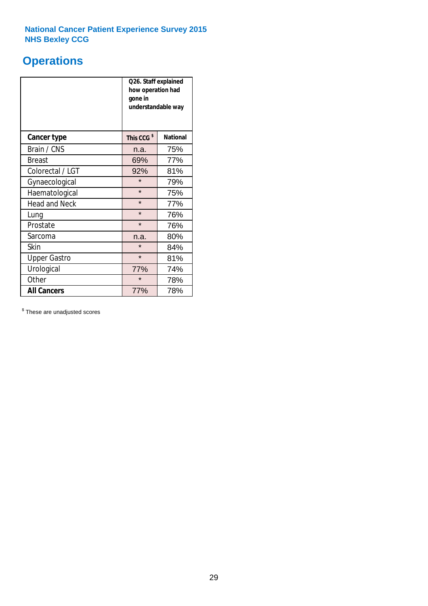# **Operations**

|                      | Q26. Staff explained<br>how operation had<br>gone in<br>understandable way |                 |  |  |  |
|----------------------|----------------------------------------------------------------------------|-----------------|--|--|--|
| <b>Cancer type</b>   | This CCG <sup>\$</sup>                                                     | <b>National</b> |  |  |  |
| Brain / CNS          | n.a.                                                                       | 75%             |  |  |  |
| <b>Breast</b>        | 69%                                                                        | 77%             |  |  |  |
| Colorectal / LGT     | 92%                                                                        | 81%             |  |  |  |
| Gynaecological       | $\star$                                                                    | 79%             |  |  |  |
| Haematological       | $\star$                                                                    | 75%             |  |  |  |
| <b>Head and Neck</b> | $\star$                                                                    | 77%             |  |  |  |
| Lung                 | $\star$                                                                    | 76%             |  |  |  |
| Prostate             | $\star$                                                                    | 76%             |  |  |  |
| Sarcoma              | n.a.                                                                       | 80%             |  |  |  |
| Skin                 | $\star$                                                                    | 84%             |  |  |  |
| <b>Upper Gastro</b>  | $\star$                                                                    | 81%             |  |  |  |
| Urological           | 77%<br>74%                                                                 |                 |  |  |  |
| Other                | $\star$                                                                    | 78%             |  |  |  |
| <b>All Cancers</b>   | 77%                                                                        | 78%             |  |  |  |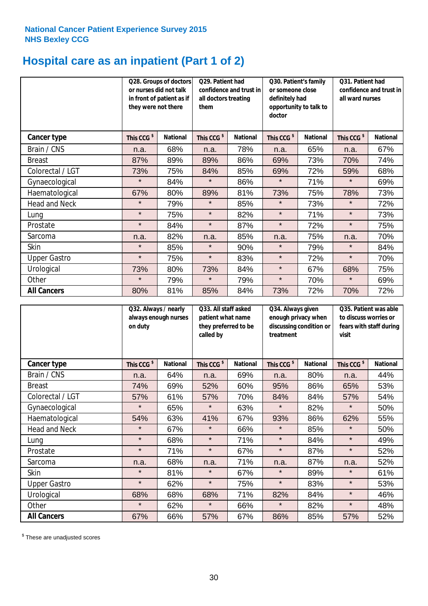# **Hospital care as an inpatient (Part 1 of 2)**

|                      |                        | Q28. Groups of doctors<br>Q29. Patient had<br>or nurses did not talk<br>confidence and trust in<br>in front of patient as if<br>all doctors treating<br>they were not there<br>them |                        | Q30. Patient's family<br>or someone close<br>definitely had<br>opportunity to talk to<br>doctor |                        | Q31. Patient had<br>confidence and trust in I<br>all ward nurses |                        |                 |
|----------------------|------------------------|-------------------------------------------------------------------------------------------------------------------------------------------------------------------------------------|------------------------|-------------------------------------------------------------------------------------------------|------------------------|------------------------------------------------------------------|------------------------|-----------------|
| <b>Cancer type</b>   | This CCG <sup>\$</sup> | <b>National</b>                                                                                                                                                                     | This CCG <sup>\$</sup> | <b>National</b>                                                                                 | This CCG <sup>\$</sup> | <b>National</b>                                                  | This CCG <sup>\$</sup> | <b>National</b> |
| Brain / CNS          | n.a.                   | 68%                                                                                                                                                                                 | n.a.                   | 78%                                                                                             | n.a.                   | 65%                                                              | n.a.                   | 67%             |
| <b>Breast</b>        | 87%                    | 89%                                                                                                                                                                                 | 89%                    | 86%                                                                                             | 69%                    | 73%                                                              | 70%                    | 74%             |
| Colorectal / LGT     | 73%                    | 75%                                                                                                                                                                                 | 84%                    | 85%                                                                                             | 69%                    | 72%                                                              | 59%                    | 68%             |
| Gynaecological       | $\star$                | 84%                                                                                                                                                                                 | $\star$                | 86%                                                                                             | $\star$                | 71%                                                              | $\star$                | 69%             |
| Haematological       | 67%                    | 80%                                                                                                                                                                                 | 89%                    | 81%                                                                                             | 73%                    | 75%                                                              | 78%                    | 73%             |
| <b>Head and Neck</b> | $\star$                | 79%                                                                                                                                                                                 | $\star$                | 85%                                                                                             | $\star$                | 73%                                                              | $\star$                | 72%             |
| Lung                 | $\star$                | 75%                                                                                                                                                                                 | $\star$                | 82%                                                                                             | $\star$                | 71%                                                              | $\star$                | 73%             |
| Prostate             | $\star$                | 84%                                                                                                                                                                                 | $\star$                | 87%                                                                                             | $\star$                | 72%                                                              | $\star$                | 75%             |
| Sarcoma              | n.a.                   | 82%                                                                                                                                                                                 | n.a.                   | 85%                                                                                             | n.a.                   | 75%                                                              | n.a.                   | 70%             |
| Skin                 | $\star$                | 85%                                                                                                                                                                                 | $\star$                | 90%                                                                                             | $\star$                | 79%                                                              | $\star$                | 84%             |
| <b>Upper Gastro</b>  | $\star$                | 75%                                                                                                                                                                                 | $\star$                | 83%                                                                                             | $\star$                | 72%                                                              | $\star$                | 70%             |
| Urological           | 73%                    | 80%                                                                                                                                                                                 | 73%                    | 84%                                                                                             | $\star$                | 67%                                                              | 68%                    | 75%             |
| Other                | $\star$                | 79%                                                                                                                                                                                 | $\star$                | 79%                                                                                             | $\star$                | 70%                                                              | $\star$                | 69%             |
| <b>All Cancers</b>   | 80%                    | 81%                                                                                                                                                                                 | 85%                    | 84%                                                                                             | 73%                    | 72%                                                              | 70%                    | 72%             |

|                      | on duty                | Q32. Always / nearly<br>always enough nurses |                        | Q33. All staff asked<br>patient what name<br>they preferred to be<br>called by |                        | Q34. Always given<br>enough privacy when<br>discussing condition or<br>treatment |                        | Q35. Patient was able<br>to discuss worries or<br>fears with staff during<br>visit |  |
|----------------------|------------------------|----------------------------------------------|------------------------|--------------------------------------------------------------------------------|------------------------|----------------------------------------------------------------------------------|------------------------|------------------------------------------------------------------------------------|--|
| Cancer type          | This CCG <sup>\$</sup> | <b>National</b>                              | This CCG <sup>\$</sup> | <b>National</b>                                                                | This CCG <sup>\$</sup> | <b>National</b>                                                                  | This CCG <sup>\$</sup> | <b>National</b>                                                                    |  |
| Brain / CNS          | n.a.                   | 64%                                          | n.a.                   | 69%                                                                            | n.a.                   | 80%                                                                              | n.a.                   | 44%                                                                                |  |
| <b>Breast</b>        | 74%                    | 69%                                          | 52%                    | 60%                                                                            | 95%                    | 86%                                                                              | 65%                    | 53%                                                                                |  |
| Colorectal / LGT     | 57%                    | 61%                                          | 57%                    | 70%                                                                            | 84%                    | 84%                                                                              | 57%                    | 54%                                                                                |  |
| Gynaecological       | $\star$                | 65%                                          | $\star$                | 63%                                                                            | $\star$                | 82%                                                                              | $\star$                | 50%                                                                                |  |
| Haematological       | 54%                    | 63%                                          | 41%                    | 67%                                                                            | 93%                    | 86%                                                                              | 62%                    | 55%                                                                                |  |
| <b>Head and Neck</b> | $\star$                | 67%                                          | $\star$                | 66%                                                                            | $\star$                | 85%                                                                              | $\star$                | 50%                                                                                |  |
| Lung                 | $\star$                | 68%                                          | $\star$                | 71%                                                                            | $\star$                | 84%                                                                              | $\star$                | 49%                                                                                |  |
| Prostate             | $\star$                | 71%                                          | $\star$                | 67%                                                                            | $\star$                | 87%                                                                              | $\star$                | 52%                                                                                |  |
| Sarcoma              | n.a.                   | 68%                                          | n.a.                   | 71%                                                                            | n.a.                   | 87%                                                                              | n.a.                   | 52%                                                                                |  |
| Skin                 | $\star$                | 81%                                          | $\star$                | 67%                                                                            | $\star$                | 89%                                                                              | $\star$                | 61%                                                                                |  |
| <b>Upper Gastro</b>  | $\star$                | 62%                                          | $\star$                | 75%                                                                            | $\star$                | 83%                                                                              | $\star$                | 53%                                                                                |  |
| Urological           | 68%                    | 68%                                          | 68%                    | 71%                                                                            | 82%                    | 84%                                                                              | $\star$                | 46%                                                                                |  |
| Other                | $\star$                | 62%                                          | $\star$                | 66%                                                                            | $\star$                | 82%                                                                              | $\star$                | 48%                                                                                |  |
| <b>All Cancers</b>   | 67%                    | 66%                                          | 57%                    | 67%                                                                            | 86%                    | 85%                                                                              | 57%                    | 52%                                                                                |  |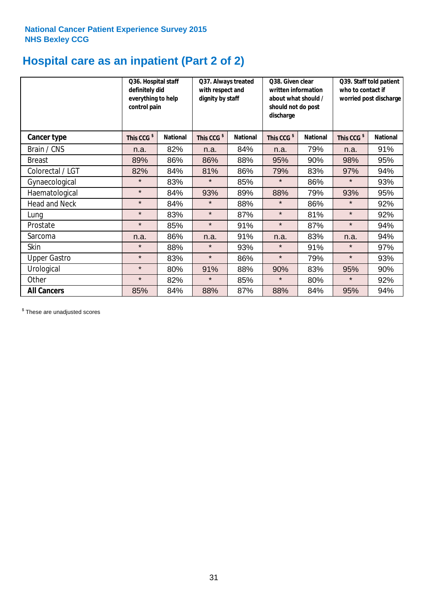# **Hospital care as an inpatient (Part 2 of 2)**

|                      | Q36. Hospital staff<br>definitely did<br>everything to help<br>control pain |                 | Q37. Always treated<br>with respect and<br>dignity by staff |                 | Q38. Given clear<br>written information<br>about what should /<br>should not do post<br>discharge |                 | Q39. Staff told patient<br>who to contact if<br>worried post discharge |                 |
|----------------------|-----------------------------------------------------------------------------|-----------------|-------------------------------------------------------------|-----------------|---------------------------------------------------------------------------------------------------|-----------------|------------------------------------------------------------------------|-----------------|
| <b>Cancer type</b>   | This CCG <sup>\$</sup>                                                      | <b>National</b> | This CCG <sup>\$</sup>                                      | <b>National</b> | This CCG <sup>\$</sup>                                                                            | <b>National</b> | This CCG <sup>\$</sup>                                                 | <b>National</b> |
| Brain / CNS          | n.a.                                                                        | 82%             | n.a.                                                        | 84%             | n.a.                                                                                              | 79%             | n.a.                                                                   | 91%             |
| <b>Breast</b>        | 89%                                                                         | 86%             | 86%                                                         | 88%             | 95%                                                                                               | 90%             | 98%                                                                    | 95%             |
| Colorectal / LGT     | 82%                                                                         | 84%             | 81%                                                         | 86%             | 79%                                                                                               | 83%             | 97%                                                                    | 94%             |
| Gynaecological       | $\star$                                                                     | 83%             | $\star$                                                     | 85%             | $\star$                                                                                           | 86%             | $\star$                                                                | 93%             |
| Haematological       | $\star$                                                                     | 84%             | 93%                                                         | 89%             | 88%                                                                                               | 79%             | 93%                                                                    | 95%             |
| <b>Head and Neck</b> | $\star$                                                                     | 84%             | $\star$                                                     | 88%             | $\star$                                                                                           | 86%             | $\star$                                                                | 92%             |
| Lung                 | $\star$                                                                     | 83%             | $\star$                                                     | 87%             | $\star$                                                                                           | 81%             | $\star$                                                                | 92%             |
| Prostate             | $\star$                                                                     | 85%             | $\star$                                                     | 91%             | $\star$                                                                                           | 87%             | $\star$                                                                | 94%             |
| Sarcoma              | n.a.                                                                        | 86%             | n.a.                                                        | 91%             | n.a.                                                                                              | 83%             | n.a.                                                                   | 94%             |
| Skin                 | $\star$                                                                     | 88%             | $\star$                                                     | 93%             | $\star$                                                                                           | 91%             | $\star$                                                                | 97%             |
| <b>Upper Gastro</b>  | $\star$                                                                     | 83%             | $\star$                                                     | 86%             | $\star$                                                                                           | 79%             | $\star$                                                                | 93%             |
| Urological           | $\star$                                                                     | 80%             | 91%                                                         | 88%             | 90%                                                                                               | 83%             | 95%                                                                    | 90%             |
| Other                | $\star$                                                                     | 82%             | $\star$                                                     | 85%             | $\star$                                                                                           | 80%             | $\star$                                                                | 92%             |
| <b>All Cancers</b>   | 85%                                                                         | 84%             | 88%                                                         | 87%             | 88%                                                                                               | 84%             | 95%                                                                    | 94%             |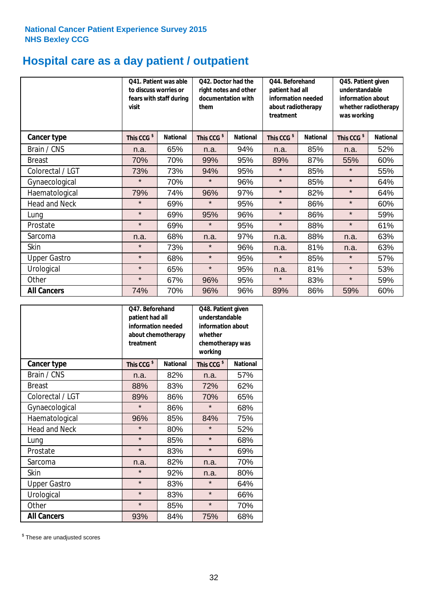# **Hospital care as a day patient / outpatient**

|                      | to discuss worries or<br>visit | Q41. Patient was able<br>fears with staff during | Q42. Doctor had the<br>right notes and other<br>documentation with<br>them |                 | Q45. Patient given<br>patient had all<br>understandable<br>information needed<br>information about<br>about radiotherapy<br>whether radiotherapy<br>treatment<br>was working |                 | Q44. Beforehand        |                 |  |
|----------------------|--------------------------------|--------------------------------------------------|----------------------------------------------------------------------------|-----------------|------------------------------------------------------------------------------------------------------------------------------------------------------------------------------|-----------------|------------------------|-----------------|--|
| Cancer type          | This CCG <sup>\$</sup>         | <b>National</b>                                  | This CCG <sup>\$</sup>                                                     | <b>National</b> | This CCG <sup>\$</sup>                                                                                                                                                       | <b>National</b> | This CCG <sup>\$</sup> | <b>National</b> |  |
| Brain / CNS          | n.a.                           | 65%                                              | n.a.                                                                       | 94%             | n.a.                                                                                                                                                                         | 85%             | n.a.                   | 52%             |  |
| <b>Breast</b>        | 70%                            | 70%                                              | 99%                                                                        | 95%             | 89%                                                                                                                                                                          | 87%             | 55%                    | 60%             |  |
| Colorectal / LGT     | 73%                            | 73%                                              | 94%                                                                        | 95%             | $\star$                                                                                                                                                                      | 85%             | $\star$                | 55%             |  |
| Gynaecological       | $\star$                        | 70%                                              | $\star$                                                                    | 96%             | $\star$                                                                                                                                                                      | 85%             | $\star$                | 64%             |  |
| Haematological       | 79%                            | 74%                                              | 96%                                                                        | 97%             | $\star$                                                                                                                                                                      | 82%             | $\star$                | 64%             |  |
| <b>Head and Neck</b> | $\star$                        | 69%                                              | $\star$                                                                    | 95%             | $\star$                                                                                                                                                                      | 86%             | $\star$                | 60%             |  |
| Lung                 | $\star$                        | 69%                                              | 95%                                                                        | 96%             | $\star$                                                                                                                                                                      | 86%             | $\star$                | 59%             |  |
| Prostate             | $\star$                        | 69%                                              | $\star$                                                                    | 95%             | $\star$                                                                                                                                                                      | 88%             | $\star$                | 61%             |  |
| Sarcoma              | n.a.                           | 68%                                              | n.a.                                                                       | 97%             | n.a.                                                                                                                                                                         | 88%             | n.a.                   | 63%             |  |
| Skin                 | $\star$                        | 73%                                              | $\star$                                                                    | 96%             | n.a.                                                                                                                                                                         | 81%             | n.a.                   | 63%             |  |
| <b>Upper Gastro</b>  | $\star$                        | 68%                                              | $\star$                                                                    | 95%             | $\star$                                                                                                                                                                      | 85%             | $\star$                | 57%             |  |
| Urological           | $\star$                        | 65%                                              | $\star$                                                                    | 95%             | n.a.                                                                                                                                                                         | 81%             | $\star$                | 53%             |  |
| Other                | $\star$                        | 67%                                              | 96%                                                                        | 95%             | $\star$                                                                                                                                                                      | 83%             | $\star$                | 59%             |  |
| <b>All Cancers</b>   | 74%                            | 70%                                              | 96%                                                                        | 96%             | 89%                                                                                                                                                                          | 86%             | 59%                    | 60%             |  |

|                      | O47. Beforehand<br>patient had all<br>information needed<br>about chemotherapy<br>treatment |                 | Q48. Patient given<br>understandable<br>information about<br>whether<br>chemotherapy was<br>working |                 |  |
|----------------------|---------------------------------------------------------------------------------------------|-----------------|-----------------------------------------------------------------------------------------------------|-----------------|--|
| <b>Cancer type</b>   | This CCG <sup>\$</sup>                                                                      | <b>National</b> | This CCG <sup>\$</sup>                                                                              | <b>National</b> |  |
| Brain / CNS          | n.a.                                                                                        | 82%             | n.a.                                                                                                | 57%             |  |
| <b>Breast</b>        | 88%                                                                                         | 83%             | 72%                                                                                                 | 62%             |  |
| Colorectal / LGT     | 89%                                                                                         | 86%             | 70%                                                                                                 | 65%             |  |
| Gynaecological       | $\star$                                                                                     | 86%             | $\star$                                                                                             | 68%             |  |
| Haematological       | 96%                                                                                         | 85%             | 84%                                                                                                 | 75%             |  |
| <b>Head and Neck</b> | $\star$                                                                                     | 80%             | $\star$                                                                                             | 52%             |  |
| Lung                 | $\star$                                                                                     | 85%             | $\star$                                                                                             | 68%             |  |
| Prostate             | $\star$                                                                                     | 83%             | $\star$                                                                                             | 69%             |  |
| Sarcoma              | n.a.                                                                                        | 82%             | n.a.                                                                                                | 70%             |  |
| Skin                 | $\star$                                                                                     | 92%             | n.a.                                                                                                | 80%             |  |
| <b>Upper Gastro</b>  | $\star$                                                                                     | 83%             | $\star$                                                                                             | 64%             |  |
| Urological           | $\star$                                                                                     | 83%             | $\star$                                                                                             | 66%             |  |
| Other                | $\star$                                                                                     | 85%             | $\star$                                                                                             | 70%             |  |
| <b>All Cancers</b>   | 93%                                                                                         | 84%             | 75%                                                                                                 | 68%             |  |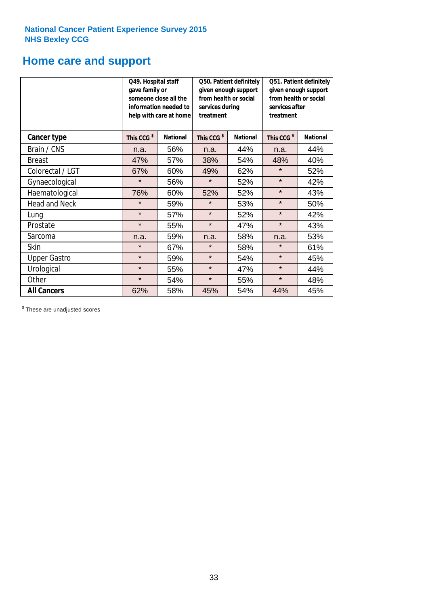# **Home care and support**

|                      | Q49. Hospital staff<br>gave family or<br>someone close all the<br>information needed to<br>help with care at home |                 | from health or social<br>services during<br>treatment | Q50. Patient definitely<br>given enough support | Q51. Patient definitely<br>given enough support<br>from health or social<br>services after<br>treatment |                 |  |
|----------------------|-------------------------------------------------------------------------------------------------------------------|-----------------|-------------------------------------------------------|-------------------------------------------------|---------------------------------------------------------------------------------------------------------|-----------------|--|
| <b>Cancer type</b>   | This CCG <sup>\$</sup>                                                                                            | <b>National</b> | This CCG <sup>\$</sup>                                | <b>National</b>                                 | This CCG <sup>\$</sup>                                                                                  | <b>National</b> |  |
| Brain / CNS          | n.a.                                                                                                              | 56%             | n.a.                                                  | 44%                                             | n.a.                                                                                                    | 44%             |  |
| <b>Breast</b>        | 47%                                                                                                               | 57%             | 38%                                                   | 54%                                             | 48%                                                                                                     | 40%             |  |
| Colorectal / LGT     | 67%                                                                                                               | 60%             | 49%                                                   | 62%                                             | $\star$                                                                                                 | 52%             |  |
| Gynaecological       | $\star$                                                                                                           | 56%             | $\star$                                               | 52%                                             | $\star$                                                                                                 | 42%             |  |
| Haematological       | 76%                                                                                                               | 60%             | 52%                                                   | 52%                                             | $\star$                                                                                                 | 43%             |  |
| <b>Head and Neck</b> | $\star$                                                                                                           | 59%             | $\star$                                               | 53%                                             | $\star$                                                                                                 | 50%             |  |
| Lung                 | $\star$                                                                                                           | 57%             | $\star$                                               | 52%                                             | $\star$                                                                                                 | 42%             |  |
| Prostate             | $\star$                                                                                                           | 55%             | $\star$                                               | 47%                                             | $\star$                                                                                                 | 43%             |  |
| Sarcoma              | n.a.                                                                                                              | 59%             | n.a.                                                  | 58%                                             | n.a.                                                                                                    | 53%             |  |
| Skin                 | $\star$                                                                                                           | 67%             | $\star$                                               | 58%                                             | $\star$                                                                                                 | 61%             |  |
| <b>Upper Gastro</b>  | $\star$                                                                                                           | 59%             | $\star$<br>54%                                        |                                                 | $\star$                                                                                                 | 45%             |  |
| Urological           | $\star$                                                                                                           | 55%             | $\star$<br>47%                                        |                                                 | $\star$                                                                                                 | 44%             |  |
| Other                | $\star$                                                                                                           | 54%             | $\star$                                               | 55%                                             | $\star$                                                                                                 | 48%             |  |
| <b>All Cancers</b>   | 62%                                                                                                               | 58%             | 45%                                                   | 54%                                             | 44%                                                                                                     | 45%             |  |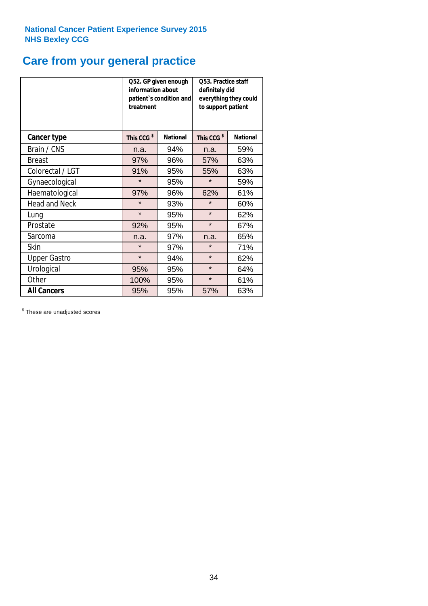# **Care from your general practice**

|                      | information about<br>treatment | Q52. GP given enough<br>patient's condition and | O53. Practice staff<br>definitely did<br>everything they could<br>to support patient |                 |  |
|----------------------|--------------------------------|-------------------------------------------------|--------------------------------------------------------------------------------------|-----------------|--|
| <b>Cancer type</b>   | This CCG <sup>\$</sup>         | <b>National</b>                                 | This CCG <sup>\$</sup>                                                               | <b>National</b> |  |
| Brain / CNS          | n.a.                           | 94%                                             | n.a.                                                                                 | 59%             |  |
| <b>Breast</b>        | 97%                            | 96%                                             | 57%                                                                                  | 63%             |  |
| Colorectal / LGT     | 91%                            | 95%                                             | 55%                                                                                  | 63%             |  |
| Gynaecological       | $\star$                        | 95%                                             | $\star$                                                                              | 59%             |  |
| Haematological       | 97%                            | 96%                                             | 62%                                                                                  | 61%             |  |
| <b>Head and Neck</b> | $\star$                        | 93%                                             | $\star$                                                                              | 60%             |  |
| Lung                 | $\star$                        | 95%                                             | $\star$                                                                              | 62%             |  |
| Prostate             | 92%                            | 95%                                             | $\star$                                                                              | 67%             |  |
| Sarcoma              | n.a.                           | 97%                                             | n.a.                                                                                 | 65%             |  |
| Skin                 | $\star$                        | 97%                                             | $\star$                                                                              | 71%             |  |
| <b>Upper Gastro</b>  | $\star$                        | 94%                                             | $\star$                                                                              | 62%             |  |
| Urological           | 95%                            | 95%                                             | $\star$                                                                              | 64%             |  |
| Other                | 100%                           | 95%                                             | $\star$                                                                              | 61%             |  |
| <b>All Cancers</b>   | 95%                            | 95%                                             | 57%                                                                                  | 63%             |  |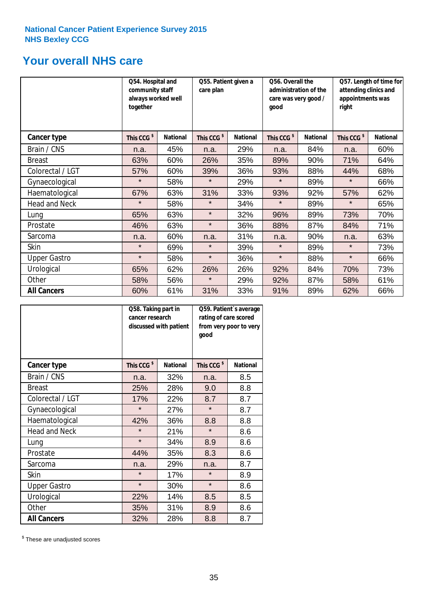# **Your overall NHS care**

|                      | together               | Q54. Hospital and<br>community staff<br>always worked well |                        | Q55. Patient given a<br>care plan |                        | Q56. Overall the<br>administration of the<br>care was very good /<br>good |                        | Q57. Length of time for<br>attending clinics and<br>appointments was<br>right |  |
|----------------------|------------------------|------------------------------------------------------------|------------------------|-----------------------------------|------------------------|---------------------------------------------------------------------------|------------------------|-------------------------------------------------------------------------------|--|
| Cancer type          | This CCG <sup>\$</sup> | <b>National</b>                                            | This CCG <sup>\$</sup> | <b>National</b>                   | This CCG <sup>\$</sup> | <b>National</b>                                                           | This CCG <sup>\$</sup> | <b>National</b>                                                               |  |
| Brain / CNS          | n.a.                   | 45%                                                        | n.a.                   | 29%                               | n.a.                   | 84%                                                                       | n.a.                   | 60%                                                                           |  |
| <b>Breast</b>        | 63%                    | 60%                                                        | 26%                    | 35%                               | 89%                    | 90%                                                                       | 71%                    | 64%                                                                           |  |
| Colorectal / LGT     | 57%                    | 60%                                                        | 39%                    | 36%                               | 93%                    | 88%                                                                       | 44%                    | 68%                                                                           |  |
| Gynaecological       | $\star$                | 58%                                                        | $\star$                | 29%                               | $\star$                | 89%                                                                       | $\star$                | 66%                                                                           |  |
| Haematological       | 67%                    | 63%                                                        | 31%                    | 33%                               | 93%                    | 92%                                                                       | 57%                    | 62%                                                                           |  |
| <b>Head and Neck</b> | $\star$                | 58%                                                        | $\star$                | 34%                               | $\star$                | 89%                                                                       | $\star$                | 65%                                                                           |  |
| Lung                 | 65%                    | 63%                                                        | $\star$                | 32%                               | 96%                    | 89%                                                                       | 73%                    | 70%                                                                           |  |
| Prostate             | 46%                    | 63%                                                        | $\star$                | 36%                               | 88%                    | 87%                                                                       | 84%                    | 71%                                                                           |  |
| Sarcoma              | n.a.                   | 60%                                                        | n.a.                   | 31%                               | n.a.                   | 90%                                                                       | n.a.                   | 63%                                                                           |  |
| Skin                 | $\star$                | 69%                                                        | $\star$                | 39%                               | $\star$                | 89%                                                                       | $\star$                | 73%                                                                           |  |
| <b>Upper Gastro</b>  | $\star$                | 58%                                                        | $\star$                | 36%                               | $\star$                | 88%                                                                       | $\star$                | 66%                                                                           |  |
| Urological           | 65%                    | 62%                                                        | 26%                    | 26%                               | 92%                    | 84%                                                                       | 70%                    | 73%                                                                           |  |
| Other                | 58%                    | 56%                                                        | $\star$                | 29%                               | 92%                    | 87%                                                                       | 58%                    | 61%                                                                           |  |
| <b>All Cancers</b>   | 60%                    | 61%                                                        | 31%                    | 33%                               | 91%                    | 89%                                                                       | 62%                    | 66%                                                                           |  |

|                      | Q58. Taking part in<br>cancer research | discussed with patient | Q59. Patient's average<br>rating of care scored<br>from very poor to very<br>good |                 |  |
|----------------------|----------------------------------------|------------------------|-----------------------------------------------------------------------------------|-----------------|--|
| <b>Cancer type</b>   | This CCG <sup>\$</sup>                 | <b>National</b>        | This CCG <sup>\$</sup>                                                            | <b>National</b> |  |
| Brain / CNS          | n.a.                                   | 32%                    | n.a.                                                                              | 8.5             |  |
| <b>Breast</b>        | 25%                                    | 28%                    | 9.0                                                                               | 8.8             |  |
| Colorectal / LGT     | 17%                                    | 22%                    | 8.7                                                                               | 8.7             |  |
| Gynaecological       | $\star$                                | 27%                    | $\star$                                                                           | 8.7             |  |
| Haematological       | 42%                                    | 36%                    | 8.8                                                                               | 8.8             |  |
| <b>Head and Neck</b> | $\star$                                | 21%                    | $\star$                                                                           | 8.6             |  |
| Lung                 | $\star$                                | 34%                    | 8.9                                                                               | 8.6             |  |
| Prostate             | 44%                                    | 35%                    | 8.3                                                                               | 8.6             |  |
| Sarcoma              | n.a.                                   | 29%                    | n.a.                                                                              | 8.7             |  |
| Skin                 | $\star$                                | 17%                    | $\star$                                                                           | 8.9             |  |
| <b>Upper Gastro</b>  | $\star$                                | 30%                    | $\star$                                                                           | 8.6             |  |
| Urological           | 22%                                    | 14%                    | 8.5                                                                               | 8.5             |  |
| Other                | 35%                                    | 31%                    | 8.9                                                                               | 8.6             |  |
| <b>All Cancers</b>   | 32%                                    | 28%                    | 8.8                                                                               | 8.7             |  |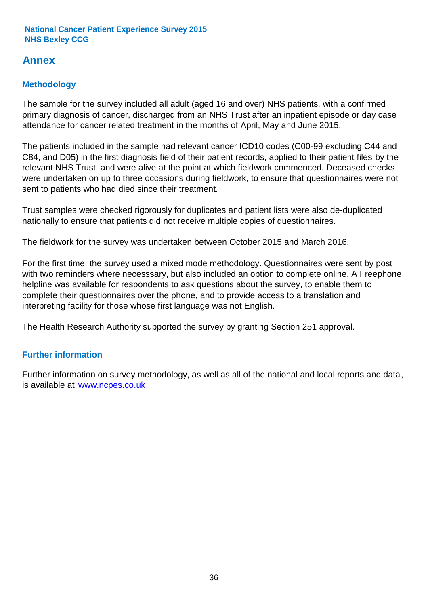# **Annex**

# **Methodology**

The sample for the survey included all adult (aged 16 and over) NHS patients, with a confirmed primary diagnosis of cancer, discharged from an NHS Trust after an inpatient episode or day case attendance for cancer related treatment in the months of April, May and June 2015.

The patients included in the sample had relevant cancer ICD10 codes (C00-99 excluding C44 and C84, and D05) in the first diagnosis field of their patient records, applied to their patient files by the relevant NHS Trust, and were alive at the point at which fieldwork commenced. Deceased checks were undertaken on up to three occasions during fieldwork, to ensure that questionnaires were not sent to patients who had died since their treatment.

Trust samples were checked rigorously for duplicates and patient lists were also de-duplicated nationally to ensure that patients did not receive multiple copies of questionnaires.

The fieldwork for the survey was undertaken between October 2015 and March 2016.

For the first time, the survey used a mixed mode methodology. Questionnaires were sent by post with two reminders where necesssary, but also included an option to complete online. A Freephone helpline was available for respondents to ask questions about the survey, to enable them to complete their questionnaires over the phone, and to provide access to a translation and interpreting facility for those whose first language was not English.

The Health Research Authority supported the survey by granting Section 251 approval.

# **Further information**

Further information on survey methodology, as well as all of the national and local reports and data, is available at www.ncpes.co.uk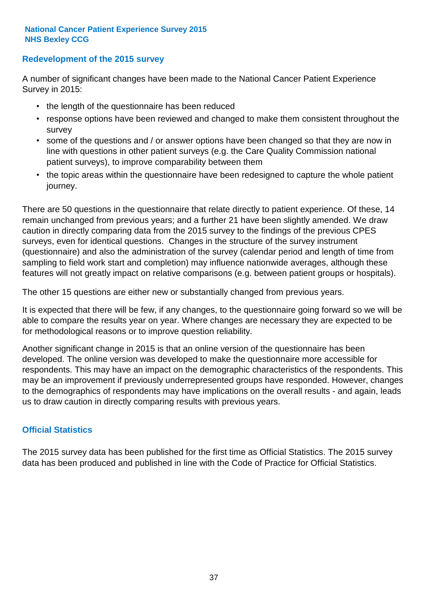### **Redevelopment of the 2015 survey**

A number of significant changes have been made to the National Cancer Patient Experience Survey in 2015:

- the length of the questionnaire has been reduced
- response options have been reviewed and changed to make them consistent throughout the survey
- some of the questions and / or answer options have been changed so that they are now in line with questions in other patient surveys (e.g. the Care Quality Commission national patient surveys), to improve comparability between them
- the topic areas within the questionnaire have been redesigned to capture the whole patient journey.

There are 50 questions in the questionnaire that relate directly to patient experience. Of these, 14 remain unchanged from previous years; and a further 21 have been slightly amended. We draw caution in directly comparing data from the 2015 survey to the findings of the previous CPES surveys, even for identical questions. Changes in the structure of the survey instrument (questionnaire) and also the administration of the survey (calendar period and length of time from sampling to field work start and completion) may influence nationwide averages, although these features will not greatly impact on relative comparisons (e.g. between patient groups or hospitals).

The other 15 questions are either new or substantially changed from previous years.

It is expected that there will be few, if any changes, to the questionnaire going forward so we will be able to compare the results year on year. Where changes are necessary they are expected to be for methodological reasons or to improve question reliability.

Another significant change in 2015 is that an online version of the questionnaire has been developed. The online version was developed to make the questionnaire more accessible for respondents. This may have an impact on the demographic characteristics of the respondents. This may be an improvement if previously underrepresented groups have responded. However, changes to the demographics of respondents may have implications on the overall results - and again, leads us to draw caution in directly comparing results with previous years.

### **Official Statistics**

The 2015 survey data has been published for the first time as Official Statistics. The 2015 survey data has been produced and published in line with the Code of Practice for Official Statistics.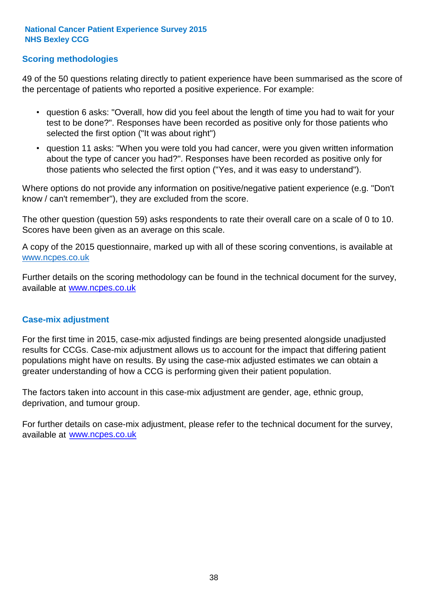### **Scoring methodologies**

49 of the 50 questions relating directly to patient experience have been summarised as the score of the percentage of patients who reported a positive experience. For example:

- question 6 asks: "Overall, how did you feel about the length of time you had to wait for your test to be done?". Responses have been recorded as positive only for those patients who selected the first option ("It was about right")
- question 11 asks: "When you were told you had cancer, were you given written information about the type of cancer you had?". Responses have been recorded as positive only for those patients who selected the first option ("Yes, and it was easy to understand").

Where options do not provide any information on positive/negative patient experience (e.g. "Don't know / can't remember"), they are excluded from the score.

The other question (question 59) asks respondents to rate their overall care on a scale of 0 to 10. Scores have been given as an average on this scale.

A copy of the 2015 questionnaire, marked up with all of these scoring conventions, is available at www.ncpes.co.uk

Further details on the scoring methodology can be found in the technical document for the survey, available at <u>www.ncpes.co.uk</u>

#### **Case-mix adjustment**

For the first time in 2015, case-mix adjusted findings are being presented alongside unadjusted results for CCGs. Case-mix adjustment allows us to account for the impact that differing patient populations might have on results. By using the case-mix adjusted estimates we can obtain a greater understanding of how a CCG is performing given their patient population.

The factors taken into account in this case-mix adjustment are gender, age, ethnic group, deprivation, and tumour group.

For further details on case-mix adjustment, please refer to the technical document for the survey, available at www.ncpes.co.uk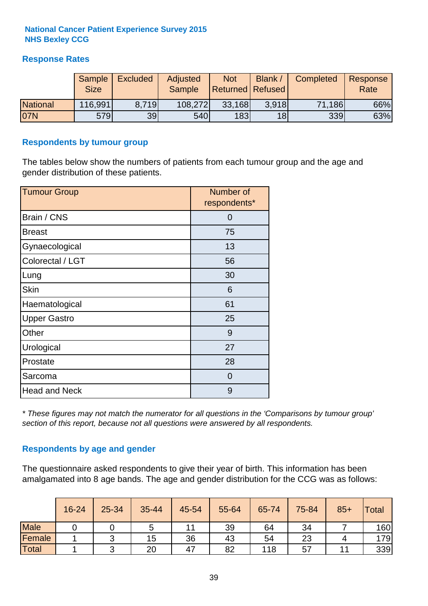### **Response Rates**

|                 | Sample<br><b>Size</b> | <b>Excluded</b> | <b>Adjusted</b><br>Sample | <b>Not</b><br><b>Returned Refused</b> | Blank | Completed | Response<br>Rate |
|-----------------|-----------------------|-----------------|---------------------------|---------------------------------------|-------|-----------|------------------|
| <b>National</b> | 116,991               | 8.719           | 108,272                   | 33,168                                | 3.918 | 71,186    | 66%              |
| 07N             | 579                   | 39              | <b>540</b>                | 183                                   | 18    | 339       | 63%              |

#### **Respondents by tumour group**

The tables below show the numbers of patients from each tumour group and the age and gender distribution of these patients.

| <b>Tumour Group</b>  | Number of<br>respondents* |
|----------------------|---------------------------|
| Brain / CNS          | 0                         |
| <b>Breast</b>        | 75                        |
| Gynaecological       | 13                        |
| Colorectal / LGT     | 56                        |
| Lung                 | 30                        |
| <b>Skin</b>          | 6                         |
| Haematological       | 61                        |
| <b>Upper Gastro</b>  | 25                        |
| Other                | 9                         |
| Urological           | 27                        |
| Prostate             | 28                        |
| Sarcoma              | $\Omega$                  |
| <b>Head and Neck</b> | 9                         |

*\* These figures may not match the numerator for all questions in the 'Comparisons by tumour group' section of this report, because not all questions were answered by all respondents.*

### **Respondents by age and gender**

The questionnaire asked respondents to give their year of birth. This information has been amalgamated into 8 age bands. The age and gender distribution for the CCG was as follows:

|             | 16-24 | 25-34 | 35-44 | 45-54 | 55-64 | 65-74 | 75-84 | $85+$ | Total |
|-------------|-------|-------|-------|-------|-------|-------|-------|-------|-------|
| <b>Male</b> |       |       | 5     |       | 39    | 64    | 34    |       | 160   |
| Female      |       | ⌒     | 15    | 36    | 43    | 54    | 23    |       | 179   |
| Total       |       |       | 20    | 47    | 82    | 118   | 57    |       | 339   |